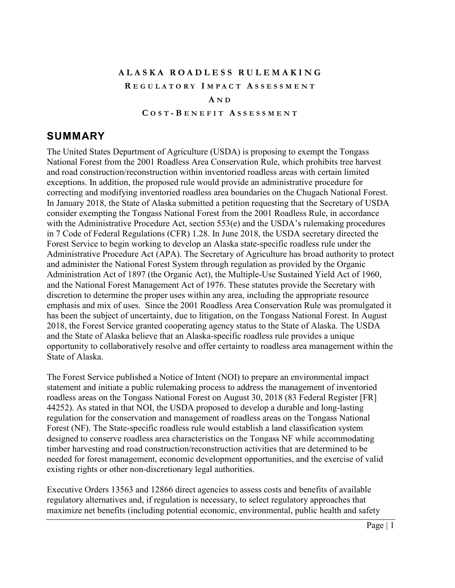## **ALASKA ROADLESS RULEMAKING R EGULATORY I MPACT A SSESSMENT A N D**

#### **C OST - B ENEFIT A SSESSMENT**

## <span id="page-0-0"></span>**SUMMARY**

The United States Department of Agriculture (USDA) is proposing to exempt the Tongass National Forest from the 2001 Roadless Area Conservation Rule, which prohibits tree harvest and road construction/reconstruction within inventoried roadless areas with certain limited exceptions. In addition, the proposed rule would provide an administrative procedure for correcting and modifying inventoried roadless area boundaries on the Chugach National Forest. In January 2018, the State of Alaska submitted a petition requesting that the Secretary of USDA consider exempting the Tongass National Forest from the 2001 Roadless Rule, in accordance with the Administrative Procedure Act, section 553(e) and the USDA's rulemaking procedures in 7 Code of Federal Regulations (CFR) 1.28. In June 2018, the USDA secretary directed the Forest Service to begin working to develop an Alaska state-specific roadless rule under the Administrative Procedure Act (APA). The Secretary of Agriculture has broad authority to protect and administer the National Forest System through regulation as provided by the Organic Administration Act of 1897 (the Organic Act), the Multiple-Use Sustained Yield Act of 1960, and the National Forest Management Act of 1976. These statutes provide the Secretary with discretion to determine the proper uses within any area, including the appropriate resource emphasis and mix of uses. Since the 2001 Roadless Area Conservation Rule was promulgated it has been the subject of uncertainty, due to litigation, on the Tongass National Forest. In August 2018, the Forest Service granted cooperating agency status to the State of Alaska. The USDA and the State of Alaska believe that an Alaska-specific roadless rule provides a unique opportunity to collaboratively resolve and offer certainty to roadless area management within the State of Alaska.

The Forest Service published a Notice of Intent (NOI) to prepare an environmental impact statement and initiate a public rulemaking process to address the management of inventoried roadless areas on the Tongass National Forest on August 30, 2018 (83 Federal Register [FR] 44252). As stated in that NOI, the USDA proposed to develop a durable and long-lasting regulation for the conservation and management of roadless areas on the Tongass National Forest (NF). The State-specific roadless rule would establish a land classification system designed to conserve roadless area characteristics on the Tongass NF while accommodating timber harvesting and road construction/reconstruction activities that are determined to be needed for forest management, economic development opportunities, and the exercise of valid existing rights or other non-discretionary legal authorities.

Executive Orders 13563 and 12866 direct agencies to assess costs and benefits of available regulatory alternatives and, if regulation is necessary, to select regulatory approaches that maximize net benefits (including potential economic, environmental, public health and safety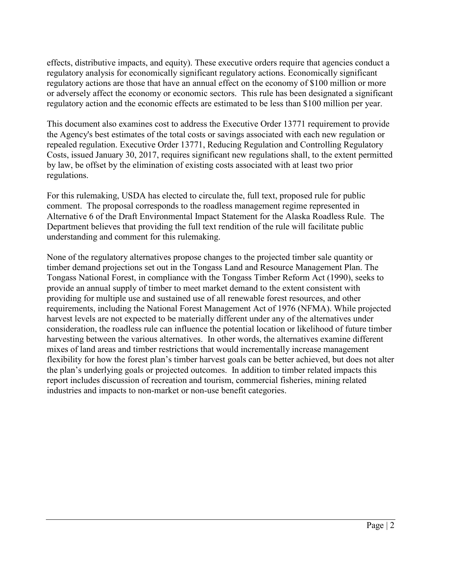effects, distributive impacts, and equity). These executive orders require that agencies conduct a regulatory analysis for economically significant regulatory actions. Economically significant regulatory actions are those that have an annual effect on the economy of \$100 million or more or adversely affect the economy or economic sectors. This rule has been designated a significant regulatory action and the economic effects are estimated to be less than \$100 million per year.

This document also examines cost to address the Executive Order 13771 requirement to provide the Agency's best estimates of the total costs or savings associated with each new regulation or repealed regulation. Executive Order 13771, Reducing Regulation and Controlling Regulatory Costs, issued January 30, 2017, requires significant new regulations shall, to the extent permitted by law, be offset by the elimination of existing costs associated with at least two prior regulations.

For this rulemaking, USDA has elected to circulate the, full text, proposed rule for public comment. The proposal corresponds to the roadless management regime represented in Alternative 6 of the Draft Environmental Impact Statement for the Alaska Roadless Rule. The Department believes that providing the full text rendition of the rule will facilitate public understanding and comment for this rulemaking.

None of the regulatory alternatives propose changes to the projected timber sale quantity or timber demand projections set out in the Tongass Land and Resource Management Plan. The Tongass National Forest, in compliance with the Tongass Timber Reform Act (1990), seeks to provide an annual supply of timber to meet market demand to the extent consistent with providing for multiple use and sustained use of all renewable forest resources, and other requirements, including the National Forest Management Act of 1976 (NFMA). While projected harvest levels are not expected to be materially different under any of the alternatives under consideration, the roadless rule can influence the potential location or likelihood of future timber harvesting between the various alternatives. In other words, the alternatives examine different mixes of land areas and timber restrictions that would incrementally increase management flexibility for how the forest plan's timber harvest goals can be better achieved, but does not alter the plan's underlying goals or projected outcomes. In addition to timber related impacts this report includes discussion of recreation and tourism, commercial fisheries, mining related industries and impacts to non-market or non-use benefit categories.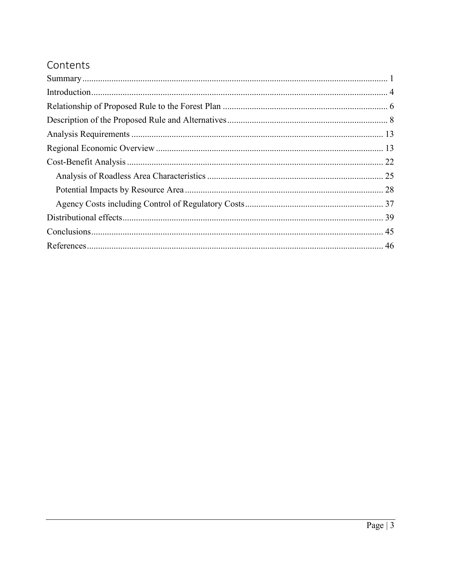# Contents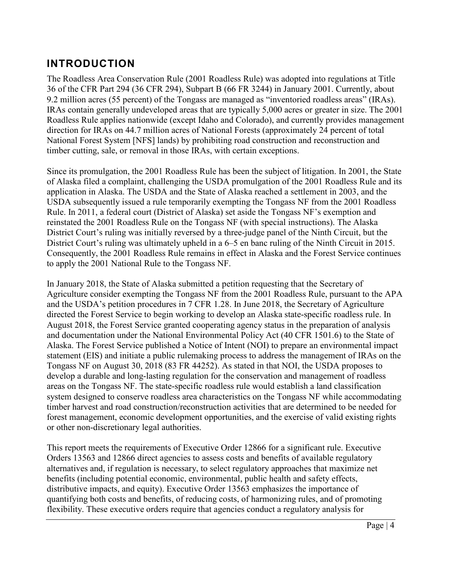# <span id="page-3-0"></span>**INTRODUCTION**

The Roadless Area Conservation Rule (2001 Roadless Rule) was adopted into regulations at Title 36 of the CFR Part 294 (36 CFR 294), Subpart B (66 FR 3244) in January 2001. Currently, about 9.2 million acres (55 percent) of the Tongass are managed as "inventoried roadless areas" (IRAs). IRAs contain generally undeveloped areas that are typically 5,000 acres or greater in size. The 2001 Roadless Rule applies nationwide (except Idaho and Colorado), and currently provides management direction for IRAs on 44.7 million acres of National Forests (approximately 24 percent of total National Forest System [NFS] lands) by prohibiting road construction and reconstruction and timber cutting, sale, or removal in those IRAs, with certain exceptions.

Since its promulgation, the 2001 Roadless Rule has been the subject of litigation. In 2001, the State of Alaska filed a complaint, challenging the USDA promulgation of the 2001 Roadless Rule and its application in Alaska. The USDA and the State of Alaska reached a settlement in 2003, and the USDA subsequently issued a rule temporarily exempting the Tongass NF from the 2001 Roadless Rule. In 2011, a federal court (District of Alaska) set aside the Tongass NF's exemption and reinstated the 2001 Roadless Rule on the Tongass NF (with special instructions). The Alaska District Court's ruling was initially reversed by a three-judge panel of the Ninth Circuit, but the District Court's ruling was ultimately upheld in a 6–5 en banc ruling of the Ninth Circuit in 2015. Consequently, the 2001 Roadless Rule remains in effect in Alaska and the Forest Service continues to apply the 2001 National Rule to the Tongass NF.

In January 2018, the State of Alaska submitted a petition requesting that the Secretary of Agriculture consider exempting the Tongass NF from the 2001 Roadless Rule, pursuant to the APA and the USDA's petition procedures in 7 CFR 1.28. In June 2018, the Secretary of Agriculture directed the Forest Service to begin working to develop an Alaska state-specific roadless rule. In August 2018, the Forest Service granted cooperating agency status in the preparation of analysis and documentation under the National Environmental Policy Act (40 CFR 1501.6) to the State of Alaska. The Forest Service published a Notice of Intent (NOI) to prepare an environmental impact statement (EIS) and initiate a public rulemaking process to address the management of IRAs on the Tongass NF on August 30, 2018 (83 FR 44252). As stated in that NOI, the USDA proposes to develop a durable and long-lasting regulation for the conservation and management of roadless areas on the Tongass NF. The state-specific roadless rule would establish a land classification system designed to conserve roadless area characteristics on the Tongass NF while accommodating timber harvest and road construction/reconstruction activities that are determined to be needed for forest management, economic development opportunities, and the exercise of valid existing rights or other non-discretionary legal authorities.

This report meets the requirements of Executive Order 12866 for a significant rule. Executive Orders 13563 and 12866 direct agencies to assess costs and benefits of available regulatory alternatives and, if regulation is necessary, to select regulatory approaches that maximize net benefits (including potential economic, environmental, public health and safety effects, distributive impacts, and equity). Executive Order 13563 emphasizes the importance of quantifying both costs and benefits, of reducing costs, of harmonizing rules, and of promoting flexibility. These executive orders require that agencies conduct a regulatory analysis for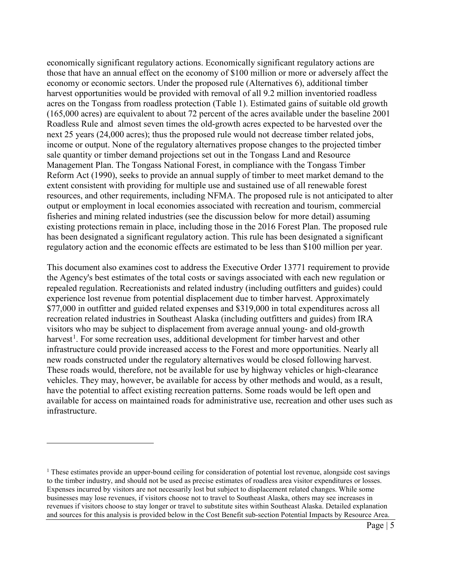economically significant regulatory actions. Economically significant regulatory actions are those that have an annual effect on the economy of \$100 million or more or adversely affect the economy or economic sectors. Under the proposed rule (Alternatives 6), additional timber harvest opportunities would be provided with removal of all 9.2 million inventoried roadless acres on the Tongass from roadless protection (Table 1). Estimated gains of suitable old growth (165,000 acres) are equivalent to about 72 percent of the acres available under the baseline 2001 Roadless Rule and almost seven times the old-growth acres expected to be harvested over the next 25 years (24,000 acres); thus the proposed rule would not decrease timber related jobs, income or output. None of the regulatory alternatives propose changes to the projected timber sale quantity or timber demand projections set out in the Tongass Land and Resource Management Plan. The Tongass National Forest, in compliance with the Tongass Timber Reform Act (1990), seeks to provide an annual supply of timber to meet market demand to the extent consistent with providing for multiple use and sustained use of all renewable forest resources, and other requirements, including NFMA. The proposed rule is not anticipated to alter output or employment in local economies associated with recreation and tourism, commercial fisheries and mining related industries (see the discussion below for more detail) assuming existing protections remain in place, including those in the 2016 Forest Plan. The proposed rule has been designated a significant regulatory action. This rule has been designated a significant regulatory action and the economic effects are estimated to be less than \$100 million per year.

This document also examines cost to address the Executive Order 13771 requirement to provide the Agency's best estimates of the total costs or savings associated with each new regulation or repealed regulation. Recreationists and related industry (including outfitters and guides) could experience lost revenue from potential displacement due to timber harvest. Approximately \$77,000 in outfitter and guided related expenses and \$319,000 in total expenditures across all recreation related industries in Southeast Alaska (including outfitters and guides) from IRA visitors who may be subject to displacement from average annual young- and old-growth harvest<sup>[1](#page-4-0)</sup>. For some recreation uses, additional development for timber harvest and other infrastructure could provide increased access to the Forest and more opportunities. Nearly all new roads constructed under the regulatory alternatives would be closed following harvest. These roads would, therefore, not be available for use by highway vehicles or high-clearance vehicles. They may, however, be available for access by other methods and would, as a result, have the potential to affect existing recreation patterns. Some roads would be left open and available for access on maintained roads for administrative use, recreation and other uses such as infrastructure.

 $\overline{a}$ 

<span id="page-4-0"></span> $<sup>1</sup>$  These estimates provide an upper-bound ceiling for consideration of potential lost revenue, alongside cost savings</sup> to the timber industry, and should not be used as precise estimates of roadless area visitor expenditures or losses. Expenses incurred by visitors are not necessarily lost but subject to displacement related changes. While some businesses may lose revenues, if visitors choose not to travel to Southeast Alaska, others may see increases in revenues if visitors choose to stay longer or travel to substitute sites within Southeast Alaska. Detailed explanation and sources for this analysis is provided below in the Cost Benefit sub-section Potential Impacts by Resource Area.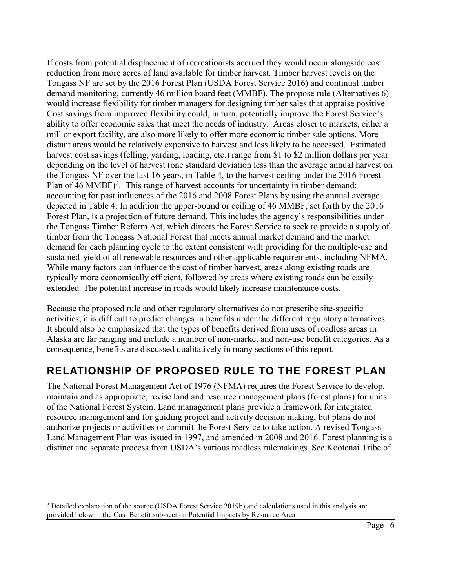If costs from potential displacement of recreationists accrued they would occur alongside cost reduction from more acres of land available for timber harvest. Timber harvest levels on the Tongass NF are set by the 2016 Forest Plan (USDA Forest Service 2016) and continual timber demand monitoring, currently 46 million board feet (MMBF). The propose rule (Alternatives 6) would increase flexibility for timber managers for designing timber sales that appraise positive. Cost savings from improved flexibility could, in turn, potentially improve the Forest Service's ability to offer economic sales that meet the needs of industry. Areas closer to markets, either a mill or export facility, are also more likely to offer more economic timber sale options. More distant areas would be relatively expensive to harvest and less likely to be accessed. Estimated harvest cost savings (felling, yarding, loading, etc.) range from \$1 to \$2 million dollars per year depending on the level of harvest (one standard deviation less than the average annual harvest on the Tongass NF over the last 16 years, in Table 4, to the harvest ceiling under the 2016 Forest Plan of 46 MMBF)<sup>[2](#page-5-1)</sup>. This range of harvest accounts for uncertainty in timber demand; accounting for past influences of the 2016 and 2008 Forest Plans by using the annual average depicted in Table 4. In addition the upper-bound or ceiling of 46 MMBF, set forth by the 2016 Forest Plan, is a projection of future demand. This includes the agency's responsibilities under the Tongass Timber Reform Act, which directs the Forest Service to seek to provide a supply of timber from the Tongass National Forest that meets annual market demand and the market demand for each planning cycle to the extent consistent with providing for the multiple-use and sustained-yield of all renewable resources and other applicable requirements, including NFMA. While many factors can influence the cost of timber harvest, areas along existing roads are typically more economically efficient, followed by areas where existing roads can be easily extended. The potential increase in roads would likely increase maintenance costs.

Because the proposed rule and other regulatory alternatives do not prescribe site-specific activities, it is difficult to predict changes in benefits under the different regulatory alternatives. It should also be emphasized that the types of benefits derived from uses of roadless areas in Alaska are far ranging and include a number of non-market and non-use benefit categories. As a consequence, benefits are discussed qualitatively in many sections of this report.

# <span id="page-5-0"></span>**RELATIONSHIP OF PROPOSED RULE TO THE FOREST PLAN**

The National Forest Management Act of 1976 (NFMA) requires the Forest Service to develop, maintain and as appropriate, revise land and resource management plans (forest plans) for units of the National Forest System. Land management plans provide a framework for integrated resource management and for guiding project and activity decision making, but plans do not authorize projects or activities or commit the Forest Service to take action. A revised Tongass Land Management Plan was issued in 1997, and amended in 2008 and 2016. Forest planning is a distinct and separate process from USDA's various roadless rulemakings. See Kootenai Tribe of

 $\overline{a}$ 

<span id="page-5-1"></span><sup>&</sup>lt;sup>2</sup> Detailed explanation of the source (USDA Forest Service 2019b) and calculations used in this analysis are provided below in the Cost Benefit sub-section Potential Impacts by Resource Area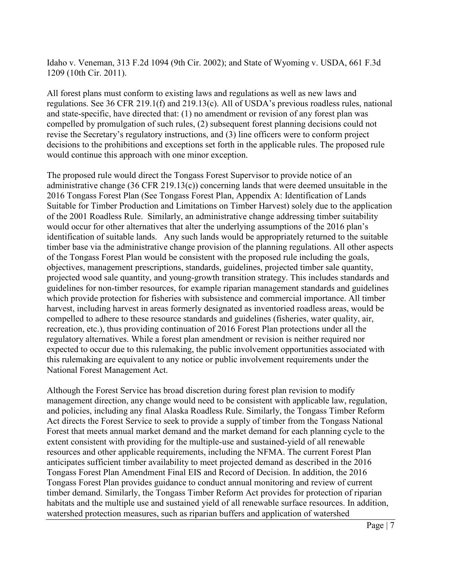Idaho v. Veneman, 313 F.2d 1094 (9th Cir. 2002); and State of Wyoming v. USDA, 661 F.3d 1209 (10th Cir. 2011).

All forest plans must conform to existing laws and regulations as well as new laws and regulations. See 36 CFR 219.1(f) and 219.13(c). All of USDA's previous roadless rules, national and state-specific, have directed that: (1) no amendment or revision of any forest plan was compelled by promulgation of such rules, (2) subsequent forest planning decisions could not revise the Secretary's regulatory instructions, and (3) line officers were to conform project decisions to the prohibitions and exceptions set forth in the applicable rules. The proposed rule would continue this approach with one minor exception.

The proposed rule would direct the Tongass Forest Supervisor to provide notice of an administrative change (36 CFR 219.13(c)) concerning lands that were deemed unsuitable in the 2016 Tongass Forest Plan (See Tongass Forest Plan, Appendix A: Identification of Lands Suitable for Timber Production and Limitations on Timber Harvest) solely due to the application of the 2001 Roadless Rule. Similarly, an administrative change addressing timber suitability would occur for other alternatives that alter the underlying assumptions of the 2016 plan's identification of suitable lands. Any such lands would be appropriately returned to the suitable timber base via the administrative change provision of the planning regulations. All other aspects of the Tongass Forest Plan would be consistent with the proposed rule including the goals, objectives, management prescriptions, standards, guidelines, projected timber sale quantity, projected wood sale quantity, and young-growth transition strategy. This includes standards and guidelines for non-timber resources, for example riparian management standards and guidelines which provide protection for fisheries with subsistence and commercial importance. All timber harvest, including harvest in areas formerly designated as inventoried roadless areas, would be compelled to adhere to these resource standards and guidelines (fisheries, water quality, air, recreation, etc.), thus providing continuation of 2016 Forest Plan protections under all the regulatory alternatives. While a forest plan amendment or revision is neither required nor expected to occur due to this rulemaking, the public involvement opportunities associated with this rulemaking are equivalent to any notice or public involvement requirements under the National Forest Management Act.

Although the Forest Service has broad discretion during forest plan revision to modify management direction, any change would need to be consistent with applicable law, regulation, and policies, including any final Alaska Roadless Rule. Similarly, the Tongass Timber Reform Act directs the Forest Service to seek to provide a supply of timber from the Tongass National Forest that meets annual market demand and the market demand for each planning cycle to the extent consistent with providing for the multiple-use and sustained-yield of all renewable resources and other applicable requirements, including the NFMA. The current Forest Plan anticipates sufficient timber availability to meet projected demand as described in the 2016 Tongass Forest Plan Amendment Final EIS and Record of Decision. In addition, the 2016 Tongass Forest Plan provides guidance to conduct annual monitoring and review of current timber demand. Similarly, the Tongass Timber Reform Act provides for protection of riparian habitats and the multiple use and sustained yield of all renewable surface resources. In addition, watershed protection measures, such as riparian buffers and application of watershed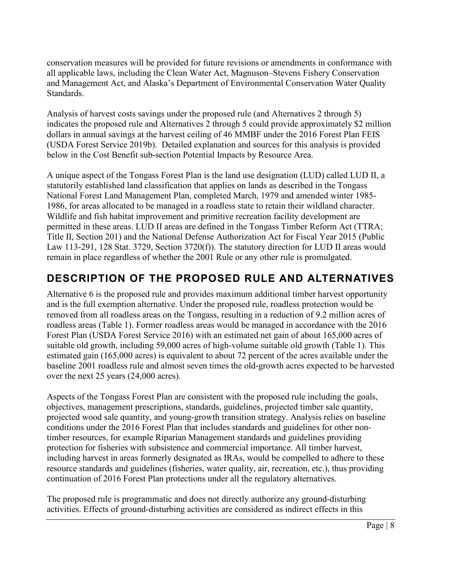conservation measures will be provided for future revisions or amendments in conformance with all applicable laws, including the Clean Water Act, Magnuson–Stevens Fishery Conservation and Management Act, and Alaska's Department of Environmental Conservation Water Quality Standards.

Analysis of harvest costs savings under the proposed rule (and Alternatives 2 through 5) indicates the proposed rule and Alternatives 2 through 5 could provide approximately \$2 million dollars in annual savings at the harvest ceiling of 46 MMBF under the 2016 Forest Plan FEIS (USDA Forest Service 2019b). Detailed explanation and sources for this analysis is provided below in the Cost Benefit sub-section Potential Impacts by Resource Area.

A unique aspect of the Tongass Forest Plan is the land use designation (LUD) called LUD II, a statutorily established land classification that applies on lands as described in the Tongass National Forest Land Management Plan, completed March, 1979 and amended winter 1985- 1986, for areas allocated to be managed in a roadless state to retain their wildland character. Wildlife and fish habitat improvement and primitive recreation facility development are permitted in these areas. LUD II areas are defined in the Tongass Timber Reform Act (TTRA; Title II, Section 201) and the National Defense Authorization Act for Fiscal Year 2015 (Public Law 113-291, 128 Stat. 3729, Section 3720(f)). The statutory direction for LUD II areas would remain in place regardless of whether the 2001 Rule or any other rule is promulgated.

# <span id="page-7-0"></span>**DESCRIPTION OF THE PROPOSED RULE AND ALTERNATIVES**

Alternative 6 is the proposed rule and provides maximum additional timber harvest opportunity and is the full exemption alternative. Under the proposed rule, roadless protection would be removed from all roadless areas on the Tongass, resulting in a reduction of 9.2 million acres of roadless areas (Table 1). Former roadless areas would be managed in accordance with the 2016 Forest Plan (USDA Forest Service 2016) with an estimated net gain of about 165,000 acres of suitable old growth, including 59,000 acres of high-volume suitable old growth (Table 1). This estimated gain (165,000 acres) is equivalent to about 72 percent of the acres available under the baseline 2001 roadless rule and almost seven times the old-growth acres expected to be harvested over the next 25 years (24,000 acres).

Aspects of the Tongass Forest Plan are consistent with the proposed rule including the goals, objectives, management prescriptions, standards, guidelines, projected timber sale quantity, projected wood sale quantity, and young-growth transition strategy. Analysis relies on baseline conditions under the 2016 Forest Plan that includes standards and guidelines for other nontimber resources, for example Riparian Management standards and guidelines providing protection for fisheries with subsistence and commercial importance. All timber harvest, including harvest in areas formerly designated as IRAs, would be compelled to adhere to these resource standards and guidelines (fisheries, water quality, air, recreation, etc.), thus providing continuation of 2016 Forest Plan protections under all the regulatory alternatives.

The proposed rule is programmatic and does not directly authorize any ground-disturbing activities. Effects of ground-disturbing activities are considered as indirect effects in this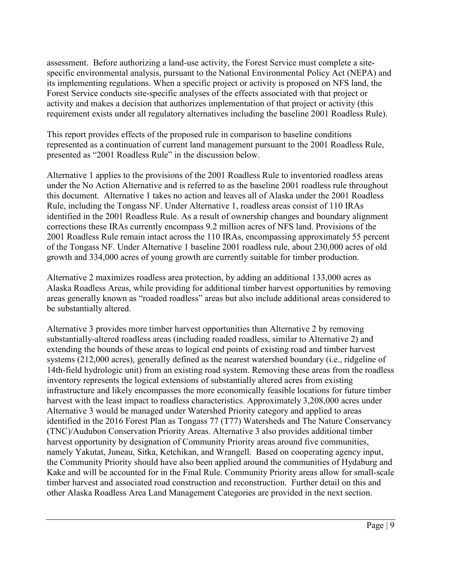assessment. Before authorizing a land-use activity, the Forest Service must complete a sitespecific environmental analysis, pursuant to the National Environmental Policy Act (NEPA) and its implementing regulations. When a specific project or activity is proposed on NFS land, the Forest Service conducts site-specific analyses of the effects associated with that project or activity and makes a decision that authorizes implementation of that project or activity (this requirement exists under all regulatory alternatives including the baseline 2001 Roadless Rule).

This report provides effects of the proposed rule in comparison to baseline conditions represented as a continuation of current land management pursuant to the 2001 Roadless Rule, presented as "2001 Roadless Rule" in the discussion below.

Alternative 1 applies to the provisions of the 2001 Roadless Rule to inventoried roadless areas under the No Action Alternative and is referred to as the baseline 2001 roadless rule throughout this document. Alternative 1 takes no action and leaves all of Alaska under the 2001 Roadless Rule, including the Tongass NF. Under Alternative 1, roadless areas consist of 110 IRAs identified in the 2001 Roadless Rule. As a result of ownership changes and boundary alignment corrections these IRAs currently encompass 9.2 million acres of NFS land. Provisions of the 2001 Roadless Rule remain intact across the 110 IRAs, encompassing approximately 55 percent of the Tongass NF. Under Alternative 1 baseline 2001 roadless rule, about 230,000 acres of old growth and 334,000 acres of young growth are currently suitable for timber production.

Alternative 2 maximizes roadless area protection, by adding an additional 133,000 acres as Alaska Roadless Areas, while providing for additional timber harvest opportunities by removing areas generally known as "roaded roadless" areas but also include additional areas considered to be substantially altered.

Alternative 3 provides more timber harvest opportunities than Alternative 2 by removing substantially-altered roadless areas (including roaded roadless, similar to Alternative 2) and extending the bounds of these areas to logical end points of existing road and timber harvest systems (212,000 acres), generally defined as the nearest watershed boundary (i.e., ridgeline of 14th-field hydrologic unit) from an existing road system. Removing these areas from the roadless inventory represents the logical extensions of substantially altered acres from existing infrastructure and likely encompasses the more economically feasible locations for future timber harvest with the least impact to roadless characteristics. Approximately 3,208,000 acres under Alternative 3 would be managed under Watershed Priority category and applied to areas identified in the 2016 Forest Plan as Tongass 77 (T77) Watersheds and The Nature Conservancy (TNC)/Audubon Conservation Priority Areas. Alternative 3 also provides additional timber harvest opportunity by designation of Community Priority areas around five communities, namely Yakutat, Juneau, Sitka, Ketchikan, and Wrangell. Based on cooperating agency input, the Community Priority should have also been applied around the communities of Hydaburg and Kake and will be accounted for in the Final Rule. Community Priority areas allow for small-scale timber harvest and associated road construction and reconstruction. Further detail on this and other Alaska Roadless Area Land Management Categories are provided in the next section.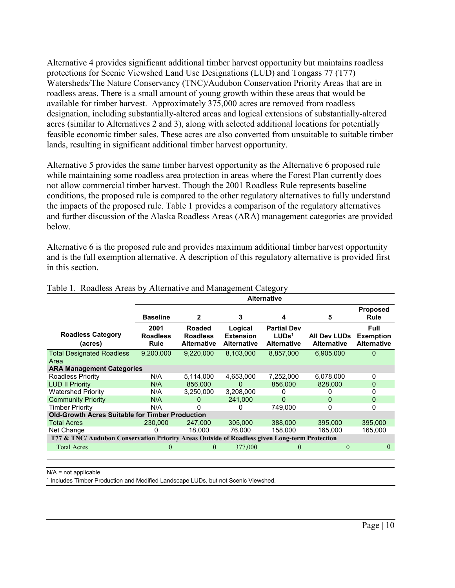Alternative 4 provides significant additional timber harvest opportunity but maintains roadless protections for Scenic Viewshed Land Use Designations (LUD) and Tongass 77 (T77) Watersheds/The Nature Conservancy (TNC)/Audubon Conservation Priority Areas that are in roadless areas. There is a small amount of young growth within these areas that would be available for timber harvest. Approximately 375,000 acres are removed from roadless designation, including substantially-altered areas and logical extensions of substantially-altered acres (similar to Alternatives 2 and 3), along with selected additional locations for potentially feasible economic timber sales. These acres are also converted from unsuitable to suitable timber lands, resulting in significant additional timber harvest opportunity.

Alternative 5 provides the same timber harvest opportunity as the Alternative 6 proposed rule while maintaining some roadless area protection in areas where the Forest Plan currently does not allow commercial timber harvest. Though the 2001 Roadless Rule represents baseline conditions, the proposed rule is compared to the other regulatory alternatives to fully understand the impacts of the proposed rule. Table 1 provides a comparison of the regulatory alternatives and further discussion of the Alaska Roadless Areas (ARA) management categories are provided below.

Alternative 6 is the proposed rule and provides maximum additional timber harvest opportunity and is the full exemption alternative. A description of this regulatory alternative is provided first in this section.

|                                                                                               | <b>Alternative</b>              |                                                 |                                                   |                                                               |                                           |                                                       |
|-----------------------------------------------------------------------------------------------|---------------------------------|-------------------------------------------------|---------------------------------------------------|---------------------------------------------------------------|-------------------------------------------|-------------------------------------------------------|
|                                                                                               | <b>Baseline</b>                 | $\mathbf{2}$                                    | 3                                                 | 4                                                             | 5                                         | <b>Proposed</b><br>Rule                               |
| <b>Roadless Category</b><br>(acres)                                                           | 2001<br><b>Roadless</b><br>Rule | Roaded<br><b>Roadless</b><br><b>Alternative</b> | Logical<br><b>Extension</b><br><b>Alternative</b> | <b>Partial Dev</b><br>LUDs <sup>1</sup><br><b>Alternative</b> | <b>All Dev LUDs</b><br><b>Alternative</b> | <b>Full</b><br><b>Exemption</b><br><b>Alternative</b> |
| <b>Total Designated Roadless</b><br>Area                                                      | 9,200,000                       | 9,220,000                                       | 8,103,000                                         | 8,857,000                                                     | 6,905,000                                 | 0                                                     |
| <b>ARA Management Categories</b>                                                              |                                 |                                                 |                                                   |                                                               |                                           |                                                       |
| Roadless Priority                                                                             | N/A                             | 5.114.000                                       | 4.653.000                                         | 7,252,000                                                     | 6,078,000                                 | 0                                                     |
| <b>LUD II Priority</b>                                                                        | N/A                             | 856,000                                         | $\Omega$                                          | 856,000                                                       | 828,000                                   | 0                                                     |
| <b>Watershed Priority</b>                                                                     | N/A                             | 3,250,000                                       | 3,208,000                                         |                                                               |                                           | 0                                                     |
| <b>Community Priority</b>                                                                     | N/A                             | $\Omega$                                        | 241.000                                           | $\Omega$                                                      | 0                                         | 0                                                     |
| <b>Timber Priority</b>                                                                        | N/A                             | 0                                               | O                                                 | 749.000                                                       | 0                                         | 0                                                     |
| <b>Old-Growth Acres Suitable for Timber Production</b>                                        |                                 |                                                 |                                                   |                                                               |                                           |                                                       |
| <b>Total Acres</b>                                                                            | 230,000                         | 247,000                                         | 305,000                                           | 388,000                                                       | 395,000                                   | 395,000                                               |
| Net Change                                                                                    |                                 | 18.000                                          | 76.000                                            | 158.000                                                       | 165.000                                   | 165.000                                               |
| T77 & TNC/ Audubon Conservation Priority Areas Outside of Roadless given Long-term Protection |                                 |                                                 |                                                   |                                                               |                                           |                                                       |
| <b>Total Acres</b>                                                                            | $\theta$                        | $\theta$                                        | 377,000                                           | $\theta$                                                      | $\Omega$                                  | $\theta$                                              |

#### Table 1. Roadless Areas by Alternative and Management Category

N/A = not applicable

<sup>1</sup> Includes Timber Production and Modified Landscape LUDs, but not Scenic Viewshed.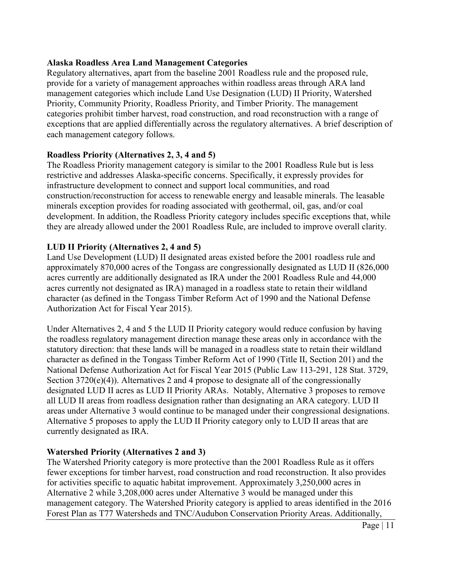## **Alaska Roadless Area Land Management Categories**

Regulatory alternatives, apart from the baseline 2001 Roadless rule and the proposed rule, provide for a variety of management approaches within roadless areas through ARA land management categories which include Land Use Designation (LUD) II Priority, Watershed Priority, Community Priority, Roadless Priority, and Timber Priority. The management categories prohibit timber harvest, road construction, and road reconstruction with a range of exceptions that are applied differentially across the regulatory alternatives. A brief description of each management category follows.

## **Roadless Priority (Alternatives 2, 3, 4 and 5)**

The Roadless Priority management category is similar to the 2001 Roadless Rule but is less restrictive and addresses Alaska-specific concerns. Specifically, it expressly provides for infrastructure development to connect and support local communities, and road construction/reconstruction for access to renewable energy and leasable minerals. The leasable minerals exception provides for roading associated with geothermal, oil, gas, and/or coal development. In addition, the Roadless Priority category includes specific exceptions that, while they are already allowed under the 2001 Roadless Rule, are included to improve overall clarity.

## **LUD II Priority (Alternatives 2, 4 and 5)**

Land Use Development (LUD) II designated areas existed before the 2001 roadless rule and approximately 870,000 acres of the Tongass are congressionally designated as LUD II (826,000 acres currently are additionally designated as IRA under the 2001 Roadless Rule and 44,000 acres currently not designated as IRA) managed in a roadless state to retain their wildland character (as defined in the Tongass Timber Reform Act of 1990 and the National Defense Authorization Act for Fiscal Year 2015).

Under Alternatives 2, 4 and 5 the LUD II Priority category would reduce confusion by having the roadless regulatory management direction manage these areas only in accordance with the statutory direction: that these lands will be managed in a roadless state to retain their wildland character as defined in the Tongass Timber Reform Act of 1990 (Title II, Section 201) and the National Defense Authorization Act for Fiscal Year 2015 (Public Law 113-291, 128 Stat. 3729, Section 3720(e)(4)). Alternatives 2 and 4 propose to designate all of the congressionally designated LUD II acres as LUD II Priority ARAs. Notably, Alternative 3 proposes to remove all LUD II areas from roadless designation rather than designating an ARA category. LUD II areas under Alternative 3 would continue to be managed under their congressional designations. Alternative 5 proposes to apply the LUD II Priority category only to LUD II areas that are currently designated as IRA.

## **Watershed Priority (Alternatives 2 and 3)**

The Watershed Priority category is more protective than the 2001 Roadless Rule as it offers fewer exceptions for timber harvest, road construction and road reconstruction. It also provides for activities specific to aquatic habitat improvement. Approximately 3,250,000 acres in Alternative 2 while 3,208,000 acres under Alternative 3 would be managed under this management category. The Watershed Priority category is applied to areas identified in the 2016 Forest Plan as T77 Watersheds and TNC/Audubon Conservation Priority Areas. Additionally,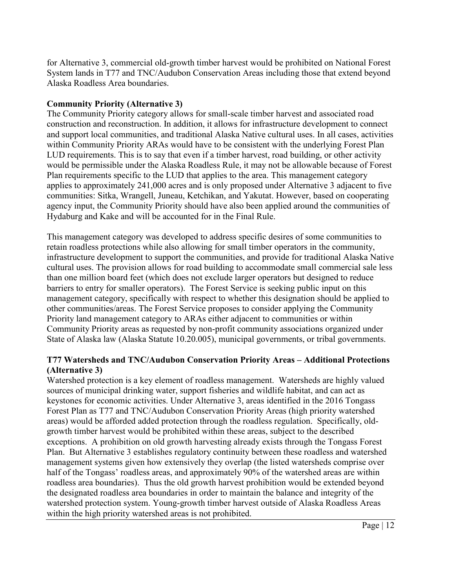for Alternative 3, commercial old-growth timber harvest would be prohibited on National Forest System lands in T77 and TNC/Audubon Conservation Areas including those that extend beyond Alaska Roadless Area boundaries.

## **Community Priority (Alternative 3)**

The Community Priority category allows for small-scale timber harvest and associated road construction and reconstruction. In addition, it allows for infrastructure development to connect and support local communities, and traditional Alaska Native cultural uses. In all cases, activities within Community Priority ARAs would have to be consistent with the underlying Forest Plan LUD requirements. This is to say that even if a timber harvest, road building, or other activity would be permissible under the Alaska Roadless Rule, it may not be allowable because of Forest Plan requirements specific to the LUD that applies to the area. This management category applies to approximately 241,000 acres and is only proposed under Alternative 3 adjacent to five communities: Sitka, Wrangell, Juneau, Ketchikan, and Yakutat. However, based on cooperating agency input, the Community Priority should have also been applied around the communities of Hydaburg and Kake and will be accounted for in the Final Rule.

This management category was developed to address specific desires of some communities to retain roadless protections while also allowing for small timber operators in the community, infrastructure development to support the communities, and provide for traditional Alaska Native cultural uses. The provision allows for road building to accommodate small commercial sale less than one million board feet (which does not exclude larger operators but designed to reduce barriers to entry for smaller operators). The Forest Service is seeking public input on this management category, specifically with respect to whether this designation should be applied to other communities/areas. The Forest Service proposes to consider applying the Community Priority land management category to ARAs either adjacent to communities or within Community Priority areas as requested by non-profit community associations organized under State of Alaska law (Alaska Statute 10.20.005), municipal governments, or tribal governments.

## **T77 Watersheds and TNC/Audubon Conservation Priority Areas – Additional Protections (Alternative 3)**

Watershed protection is a key element of roadless management. Watersheds are highly valued sources of municipal drinking water, support fisheries and wildlife habitat, and can act as keystones for economic activities. Under Alternative 3, areas identified in the 2016 Tongass Forest Plan as T77 and TNC/Audubon Conservation Priority Areas (high priority watershed areas) would be afforded added protection through the roadless regulation. Specifically, oldgrowth timber harvest would be prohibited within these areas, subject to the described exceptions. A prohibition on old growth harvesting already exists through the Tongass Forest Plan. But Alternative 3 establishes regulatory continuity between these roadless and watershed management systems given how extensively they overlap (the listed watersheds comprise over half of the Tongass' roadless areas, and approximately 90% of the watershed areas are within roadless area boundaries). Thus the old growth harvest prohibition would be extended beyond the designated roadless area boundaries in order to maintain the balance and integrity of the watershed protection system. Young-growth timber harvest outside of Alaska Roadless Areas within the high priority watershed areas is not prohibited.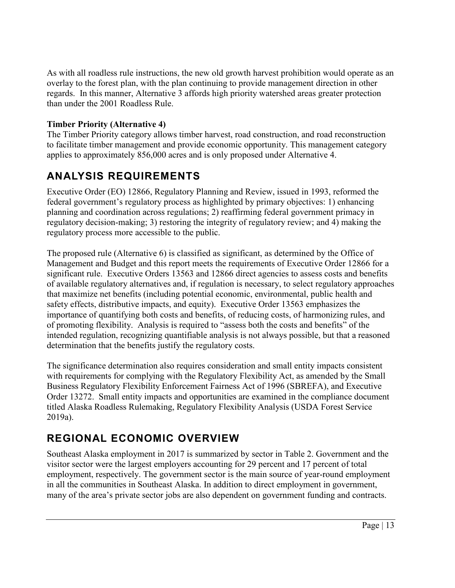As with all roadless rule instructions, the new old growth harvest prohibition would operate as an overlay to the forest plan, with the plan continuing to provide management direction in other regards. In this manner, Alternative 3 affords high priority watershed areas greater protection than under the 2001 Roadless Rule.

## **Timber Priority (Alternative 4)**

The Timber Priority category allows timber harvest, road construction, and road reconstruction to facilitate timber management and provide economic opportunity. This management category applies to approximately 856,000 acres and is only proposed under Alternative 4.

# <span id="page-12-0"></span>**ANALYSIS REQUIREMENTS**

Executive Order (EO) 12866, Regulatory Planning and Review, issued in 1993, reformed the federal government's regulatory process as highlighted by primary objectives: 1) enhancing planning and coordination across regulations; 2) reaffirming federal government primacy in regulatory decision-making; 3) restoring the integrity of regulatory review; and 4) making the regulatory process more accessible to the public.

The proposed rule (Alternative 6) is classified as significant, as determined by the Office of Management and Budget and this report meets the requirements of Executive Order 12866 for a significant rule. Executive Orders 13563 and 12866 direct agencies to assess costs and benefits of available regulatory alternatives and, if regulation is necessary, to select regulatory approaches that maximize net benefits (including potential economic, environmental, public health and safety effects, distributive impacts, and equity). Executive Order 13563 emphasizes the importance of quantifying both costs and benefits, of reducing costs, of harmonizing rules, and of promoting flexibility. Analysis is required to "assess both the costs and benefits" of the intended regulation, recognizing quantifiable analysis is not always possible, but that a reasoned determination that the benefits justify the regulatory costs.

The significance determination also requires consideration and small entity impacts consistent with requirements for complying with the Regulatory Flexibility Act, as amended by the Small Business Regulatory Flexibility Enforcement Fairness Act of 1996 (SBREFA), and Executive Order 13272. Small entity impacts and opportunities are examined in the compliance document titled Alaska Roadless Rulemaking, Regulatory Flexibility Analysis (USDA Forest Service 2019a).

# <span id="page-12-1"></span>**REGIONAL ECONOMIC OVERVIEW**

Southeast Alaska employment in 2017 is summarized by sector in Table 2. Government and the visitor sector were the largest employers accounting for 29 percent and 17 percent of total employment, respectively. The government sector is the main source of year-round employment in all the communities in Southeast Alaska. In addition to direct employment in government, many of the area's private sector jobs are also dependent on government funding and contracts.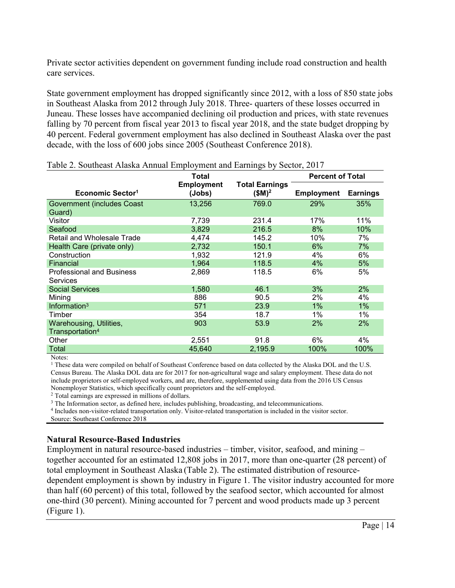Private sector activities dependent on government funding include road construction and health care services.

State government employment has dropped significantly since 2012, with a loss of 850 state jobs in Southeast Alaska from 2012 through July 2018. Three- quarters of these losses occurred in Juneau. These losses have accompanied declining oil production and prices, with state revenues falling by 70 percent from fiscal year 2013 to fiscal year 2018, and the state budget dropping by 40 percent. Federal government employment has also declined in Southeast Alaska over the past decade, with the loss of 600 jobs since 2005 (Southeast Conference 2018).

|                                                        | Total                       |                                  | <b>Percent of Total</b> |                 |
|--------------------------------------------------------|-----------------------------|----------------------------------|-------------------------|-----------------|
| Economic Sector <sup>1</sup>                           | <b>Employment</b><br>(Jobs) | <b>Total Earnings</b><br>$$M)^2$ | <b>Employment</b>       | <b>Earnings</b> |
| <b>Government (includes Coast</b>                      | 13,256                      | 769.0                            | 29%                     | 35%             |
| Guard)                                                 |                             |                                  |                         |                 |
| Visitor                                                | 7,739                       | 231.4                            | 17%                     | 11%             |
| Seafood                                                | 3,829                       | 216.5                            | 8%                      | 10%             |
| Retail and Wholesale Trade                             | 4,474                       | 145.2                            | 10%                     | 7%              |
| Health Care (private only)                             | 2,732                       | 150.1                            | 6%                      | 7%              |
| Construction                                           | 1,932                       | 121.9                            | 4%                      | 6%              |
| Financial                                              | 1,964                       | 118.5                            | 4%                      | 5%              |
| <b>Professional and Business</b><br><b>Services</b>    | 2,869                       | 118.5                            | 6%                      | 5%              |
| <b>Social Services</b>                                 | 1,580                       | 46.1                             | 3%                      | 2%              |
| Mining                                                 | 886                         | 90.5                             | $2\%$                   | 4%              |
| Information <sup>3</sup>                               | 571                         | 23.9                             | $1\%$                   | 1%              |
| Timber                                                 | 354                         | 18.7                             | 1%                      | 1%              |
| Warehousing, Utilities,<br>Transportation <sup>4</sup> | 903                         | 53.9                             | 2%                      | 2%              |
| Other                                                  | 2,551                       | 91.8                             | 6%                      | 4%              |
| <b>Total</b>                                           | 45,640                      | 2,195.9                          | 100%                    | 100%            |

Table 2. Southeast Alaska Annual Employment and Earnings by Sector, 2017

<sup>1</sup> These data were compiled on behalf of Southeast Conference based on data collected by the Alaska DOL and the U.S. Census Bureau. The Alaska DOL data are for 2017 for non-agricultural wage and salary employment. These data do not include proprietors or self-employed workers, and are, therefore, supplemented using data from the 2016 US Census Nonemployer Statistics, which specifically count proprietors and the self-employed. 2 Total earnings are expressed in millions of dollars.

<sup>3</sup> The Information sector, as defined here, includes publishing, broadcasting, and telecommunications.

<sup>4</sup> Includes non-visitor-related transportation only. Visitor-related transportation is included in the visitor sector.

Source: Southeast Conference 2018

## **Natural Resource-Based Industries**

Employment in natural resource-based industries – timber, visitor, seafood, and mining – together accounted for an estimated 12,808 jobs in 2017, more than one-quarter (28 percent) of total employment in Southeast Alaska (Table 2). The estimated distribution of resourcedependent employment is shown by industry in Figure 1. The visitor industry accounted for more than half (60 percent) of this total, followed by the seafood sector, which accounted for almost one-third (30 percent). Mining accounted for 7 percent and wood products made up 3 percent (Figure 1).

Notes: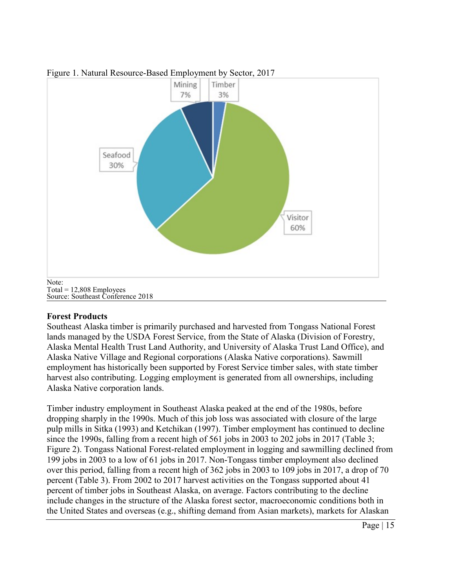

### Figure 1. Natural Resource-Based Employment by Sector, 2017

 $Total = 12,808$  Employees Source: Southeast Conference 2018

## **Forest Products**

Southeast Alaska timber is primarily purchased and harvested from Tongass National Forest lands managed by the USDA Forest Service, from the State of Alaska (Division of Forestry, Alaska Mental Health Trust Land Authority, and University of Alaska Trust Land Office), and Alaska Native Village and Regional corporations (Alaska Native corporations). Sawmill employment has historically been supported by Forest Service timber sales, with state timber harvest also contributing. Logging employment is generated from all ownerships, including Alaska Native corporation lands.

Timber industry employment in Southeast Alaska peaked at the end of the 1980s, before dropping sharply in the 1990s. Much of this job loss was associated with closure of the large pulp mills in Sitka (1993) and Ketchikan (1997). Timber employment has continued to decline since the 1990s, falling from a recent high of 561 jobs in 2003 to 202 jobs in 2017 (Table 3; Figure 2). Tongass National Forest-related employment in logging and sawmilling declined from 199 jobs in 2003 to a low of 61 jobs in 2017. Non-Tongass timber employment also declined over this period, falling from a recent high of 362 jobs in 2003 to 109 jobs in 2017, a drop of 70 percent (Table 3). From 2002 to 2017 harvest activities on the Tongass supported about 41 percent of timber jobs in Southeast Alaska, on average. Factors contributing to the decline include changes in the structure of the Alaska forest sector, macroeconomic conditions both in the United States and overseas (e.g., shifting demand from Asian markets), markets for Alaskan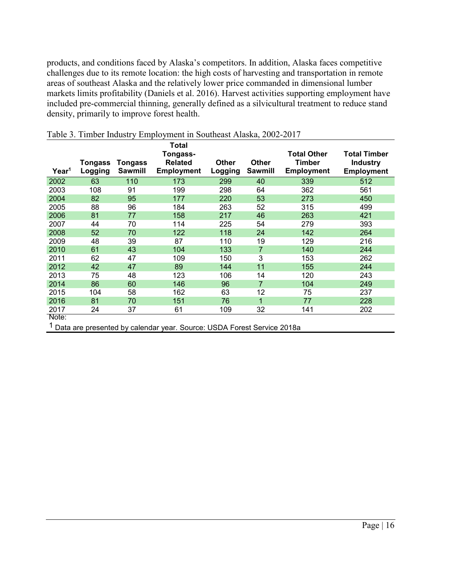products, and conditions faced by Alaska's competitors. In addition, Alaska faces competitive challenges due to its remote location: the high costs of harvesting and transportation in remote areas of southeast Alaska and the relatively lower price commanded in dimensional lumber markets limits profitability (Daniels et al. 2016). Harvest activities supporting employment have included pre-commercial thinning, generally defined as a silvicultural treatment to reduce stand density, primarily to improve forest health.

| Year <sup>1</sup> | Tongass<br>Logging | Tongass<br><b>Sawmill</b> | Total<br>Tongass-<br><b>Related</b><br><b>Employment</b> | <b>Other</b><br>Logging | <b>Other</b><br><b>Sawmill</b> | <b>Total Other</b><br>Timber<br><b>Employment</b> | <b>Total Timber</b><br><b>Industry</b><br><b>Employment</b> |
|-------------------|--------------------|---------------------------|----------------------------------------------------------|-------------------------|--------------------------------|---------------------------------------------------|-------------------------------------------------------------|
| 2002              | 63                 | 110                       | 173                                                      | 299                     | 40                             | 339                                               | 512                                                         |
| 2003              | 108                | 91                        | 199                                                      | 298                     | 64                             | 362                                               | 561                                                         |
| 2004              | 82                 | 95                        | 177                                                      | 220                     | 53                             | 273                                               | 450                                                         |
| 2005              | 88                 | 96                        | 184                                                      | 263                     | 52                             | 315                                               | 499                                                         |
| 2006              | 81                 | 77                        | 158                                                      | 217                     | 46                             | 263                                               | 421                                                         |
| 2007              | 44                 | 70                        | 114                                                      | 225                     | 54                             | 279                                               | 393                                                         |
| 2008              | 52                 | 70                        | 122                                                      | 118                     | 24                             | 142                                               | 264                                                         |
| 2009              | 48                 | 39                        | 87                                                       | 110                     | 19                             | 129                                               | 216                                                         |
| 2010              | 61                 | 43                        | 104                                                      | 133                     | $\overline{7}$                 | 140                                               | 244                                                         |
| 2011              | 62                 | 47                        | 109                                                      | 150                     | 3                              | 153                                               | 262                                                         |
| 2012              | 42                 | 47                        | 89                                                       | 144                     | 11                             | 155                                               | 244                                                         |
| 2013              | 75                 | 48                        | 123                                                      | 106                     | 14                             | 120                                               | 243                                                         |
| 2014              | 86                 | 60                        | 146                                                      | 96                      | $\overline{7}$                 | 104                                               | 249                                                         |
| 2015              | 104                | 58                        | 162                                                      | 63                      | 12                             | 75                                                | 237                                                         |
| 2016              | 81                 | 70                        | 151                                                      | 76                      | 1                              | 77                                                | 228                                                         |
| 2017              | 24                 | 37                        | 61                                                       | 109                     | 32                             | 141                                               | 202                                                         |
| Note:             |                    |                           |                                                          |                         |                                |                                                   |                                                             |

|  |  |  | Table 3. Timber Industry Employment in Southeast Alaska, 2002-2017 |
|--|--|--|--------------------------------------------------------------------|
|  |  |  |                                                                    |

1 Data are presented by calendar year. Source: USDA Forest Service 2018a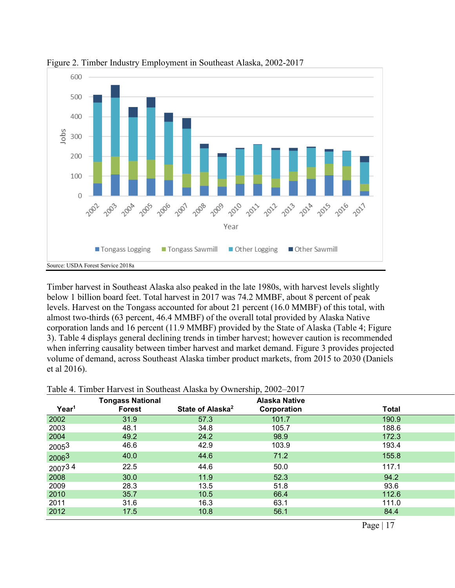

Figure 2. Timber Industry Employment in Southeast Alaska, 2002-2017

Timber harvest in Southeast Alaska also peaked in the late 1980s, with harvest levels slightly below 1 billion board feet. Total harvest in 2017 was 74.2 MMBF, about 8 percent of peak levels. Harvest on the Tongass accounted for about 21 percent (16.0 MMBF) of this total, with almost two-thirds (63 percent, 46.4 MMBF) of the overall total provided by Alaska Native corporation lands and 16 percent (11.9 MMBF) provided by the State of Alaska (Table 4; Figure 3). Table 4 displays general declining trends in timber harvest; however caution is recommended when inferring causality between timber harvest and market demand. Figure 3 provides projected volume of demand, across Southeast Alaska timber product markets, from 2015 to 2030 (Daniels et al 2016).

|                   | <b>Tongass National</b> |                              | <b>Alaska Native</b> |       |
|-------------------|-------------------------|------------------------------|----------------------|-------|
| Year <sup>1</sup> | <b>Forest</b>           | State of Alaska <sup>2</sup> | Corporation          | Total |
| 2002              | 31.9                    | 57.3                         | 101.7                | 190.9 |
| 2003              | 48.1                    | 34.8                         | 105.7                | 188.6 |
| 2004              | 49.2                    | 24.2                         | 98.9                 | 172.3 |
| 20053             | 46.6                    | 42.9                         | 103.9                | 193.4 |
| 20063             | 40.0                    | 44.6                         | 71.2                 | 155.8 |
| 200734            | 22.5                    | 44.6                         | 50.0                 | 117.1 |
| 2008              | 30.0                    | 11.9                         | 52.3                 | 94.2  |
| 2009              | 28.3                    | 13.5                         | 51.8                 | 93.6  |
| 2010              | 35.7                    | 10.5                         | 66.4                 | 112.6 |
| 2011              | 31.6                    | 16.3                         | 63.1                 | 111.0 |
| 2012              | 17.5                    | 10.8                         | 56.1                 | 84.4  |

Table 4. Timber Harvest in Southeast Alaska by Ownership, 2002–2017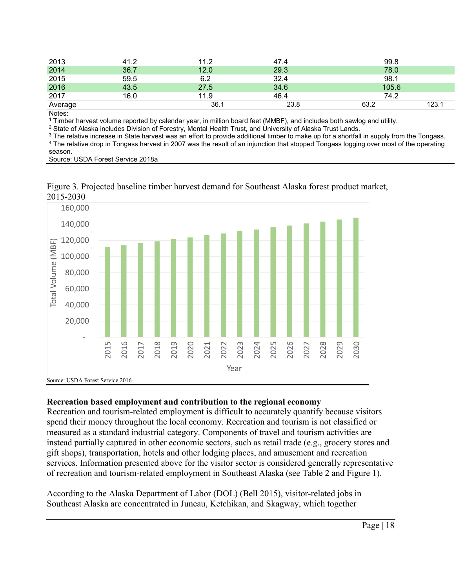| 2013    | 41.2 | 11.2 | 47.4 | 99.8         |
|---------|------|------|------|--------------|
| 2014    | 36.7 | 12.0 | 29.3 | 78.0         |
| 2015    | 59.5 | 6.2  | 32.4 | 98.1         |
| 2016    | 43.5 | 27.5 | 34.6 | 105.6        |
| 2017    | 16.0 | 11.9 | 46.4 | 74.2         |
| Average |      | 36.1 | 23.8 | 63.2<br>123. |
|         |      |      |      |              |

Notes:

<sup>1</sup> Timber harvest volume reported by calendar year, in million board feet (MMBF), and includes both sawlog and utility.

<sup>2</sup> State of Alaska includes Division of Forestry, Mental Health Trust, and University of Alaska Trust Lands.

<sup>3</sup> The relative increase in State harvest was an effort to provide additional timber to make up for a shortfall in supply from the Tongass. <sup>4</sup> The relative drop in Tongass harvest in 2007 was the result of an injunction that stopped Tongass logging over most of the operating

season.

Source: USDA Forest Service 2018a



Figure 3. Projected baseline timber harvest demand for Southeast Alaska forest product market, 2015-2030

#### **Recreation based employment and contribution to the regional economy**

Recreation and tourism-related employment is difficult to accurately quantify because visitors spend their money throughout the local economy. Recreation and tourism is not classified or measured as a standard industrial category. Components of travel and tourism activities are instead partially captured in other economic sectors, such as retail trade (e.g., grocery stores and gift shops), transportation, hotels and other lodging places, and amusement and recreation services. Information presented above for the visitor sector is considered generally representative of recreation and tourism-related employment in Southeast Alaska (see Table 2 and Figure 1).

According to the Alaska Department of Labor (DOL) (Bell 2015), visitor-related jobs in Southeast Alaska are concentrated in Juneau, Ketchikan, and Skagway, which together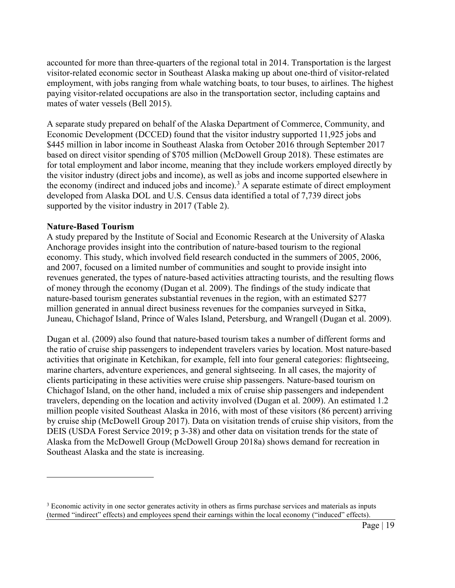accounted for more than three-quarters of the regional total in 2014. Transportation is the largest visitor-related economic sector in Southeast Alaska making up about one-third of visitor-related employment, with jobs ranging from whale watching boats, to tour buses, to airlines. The highest paying visitor-related occupations are also in the transportation sector, including captains and mates of water vessels (Bell 2015).

A separate study prepared on behalf of the Alaska Department of Commerce, Community, and Economic Development (DCCED) found that the visitor industry supported 11,925 jobs and \$445 million in labor income in Southeast Alaska from October 2016 through September 2017 based on direct visitor spending of \$705 million (McDowell Group 2018). These estimates are for total employment and labor income, meaning that they include workers employed directly by the visitor industry (direct jobs and income), as well as jobs and income supported elsewhere in the economy (indirect and induced jobs and income).<sup>[3](#page-18-0)</sup> A separate estimate of direct employment developed from Alaska DOL and U.S. Census data identified a total of 7,739 direct jobs supported by the visitor industry in 2017 (Table 2).

#### **Nature-Based Tourism**

 $\overline{a}$ 

A study prepared by the Institute of Social and Economic Research at the University of Alaska Anchorage provides insight into the contribution of nature-based tourism to the regional economy. This study, which involved field research conducted in the summers of 2005, 2006, and 2007, focused on a limited number of communities and sought to provide insight into revenues generated, the types of nature-based activities attracting tourists, and the resulting flows of money through the economy (Dugan et al. 2009). The findings of the study indicate that nature-based tourism generates substantial revenues in the region, with an estimated \$277 million generated in annual direct business revenues for the companies surveyed in Sitka, Juneau, Chichagof Island, Prince of Wales Island, Petersburg, and Wrangell (Dugan et al. 2009).

Dugan et al. (2009) also found that nature-based tourism takes a number of different forms and the ratio of cruise ship passengers to independent travelers varies by location. Most nature-based activities that originate in Ketchikan, for example, fell into four general categories: flightseeing, marine charters, adventure experiences, and general sightseeing. In all cases, the majority of clients participating in these activities were cruise ship passengers. Nature-based tourism on Chichagof Island, on the other hand, included a mix of cruise ship passengers and independent travelers, depending on the location and activity involved (Dugan et al. 2009). An estimated 1.2 million people visited Southeast Alaska in 2016, with most of these visitors (86 percent) arriving by cruise ship (McDowell Group 2017). Data on visitation trends of cruise ship visitors, from the DEIS (USDA Forest Service 2019; p 3-38) and other data on visitation trends for the state of Alaska from the McDowell Group (McDowell Group 2018a) shows demand for recreation in Southeast Alaska and the state is increasing.

<span id="page-18-0"></span><sup>&</sup>lt;sup>3</sup> Economic activity in one sector generates activity in others as firms purchase services and materials as inputs (termed "indirect" effects) and employees spend their earnings within the local economy ("induced" effects).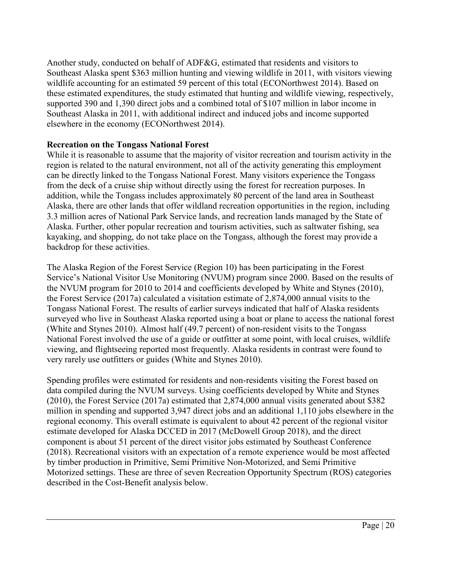Another study, conducted on behalf of ADF&G, estimated that residents and visitors to Southeast Alaska spent \$363 million hunting and viewing wildlife in 2011, with visitors viewing wildlife accounting for an estimated 59 percent of this total (ECONorthwest 2014). Based on these estimated expenditures, the study estimated that hunting and wildlife viewing, respectively, supported 390 and 1,390 direct jobs and a combined total of \$107 million in labor income in Southeast Alaska in 2011, with additional indirect and induced jobs and income supported elsewhere in the economy (ECONorthwest 2014).

## **Recreation on the Tongass National Forest**

While it is reasonable to assume that the majority of visitor recreation and tourism activity in the region is related to the natural environment, not all of the activity generating this employment can be directly linked to the Tongass National Forest. Many visitors experience the Tongass from the deck of a cruise ship without directly using the forest for recreation purposes. In addition, while the Tongass includes approximately 80 percent of the land area in Southeast Alaska, there are other lands that offer wildland recreation opportunities in the region, including 3.3 million acres of National Park Service lands, and recreation lands managed by the State of Alaska. Further, other popular recreation and tourism activities, such as saltwater fishing, sea kayaking, and shopping, do not take place on the Tongass, although the forest may provide a backdrop for these activities.

The Alaska Region of the Forest Service (Region 10) has been participating in the Forest Service's National Visitor Use Monitoring (NVUM) program since 2000. Based on the results of the NVUM program for 2010 to 2014 and coefficients developed by White and Stynes (2010), the Forest Service (2017a) calculated a visitation estimate of 2,874,000 annual visits to the Tongass National Forest. The results of earlier surveys indicated that half of Alaska residents surveyed who live in Southeast Alaska reported using a boat or plane to access the national forest (White and Stynes 2010). Almost half (49.7 percent) of non-resident visits to the Tongass National Forest involved the use of a guide or outfitter at some point, with local cruises, wildlife viewing, and flightseeing reported most frequently. Alaska residents in contrast were found to very rarely use outfitters or guides (White and Stynes 2010).

Spending profiles were estimated for residents and non-residents visiting the Forest based on data compiled during the NVUM surveys. Using coefficients developed by White and Stynes (2010), the Forest Service (2017a) estimated that 2,874,000 annual visits generated about \$382 million in spending and supported 3,947 direct jobs and an additional 1,110 jobs elsewhere in the regional economy. This overall estimate is equivalent to about 42 percent of the regional visitor estimate developed for Alaska DCCED in 2017 (McDowell Group 2018), and the direct component is about 51 percent of the direct visitor jobs estimated by Southeast Conference (2018). Recreational visitors with an expectation of a remote experience would be most affected by timber production in Primitive, Semi Primitive Non-Motorized, and Semi Primitive Motorized settings. These are three of seven Recreation Opportunity Spectrum (ROS) categories described in the Cost-Benefit analysis below.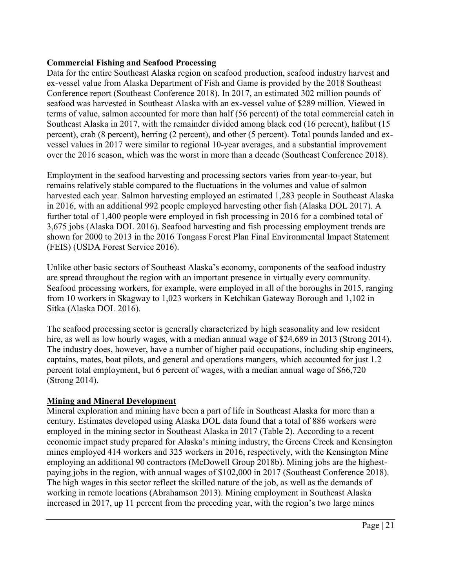## **Commercial Fishing and Seafood Processing**

Data for the entire Southeast Alaska region on seafood production, seafood industry harvest and ex-vessel value from Alaska Department of Fish and Game is provided by the 2018 Southeast Conference report (Southeast Conference 2018). In 2017, an estimated 302 million pounds of seafood was harvested in Southeast Alaska with an ex-vessel value of \$289 million. Viewed in terms of value, salmon accounted for more than half (56 percent) of the total commercial catch in Southeast Alaska in 2017, with the remainder divided among black cod (16 percent), halibut (15 percent), crab (8 percent), herring (2 percent), and other (5 percent). Total pounds landed and exvessel values in 2017 were similar to regional 10-year averages, and a substantial improvement over the 2016 season, which was the worst in more than a decade (Southeast Conference 2018).

Employment in the seafood harvesting and processing sectors varies from year-to-year, but remains relatively stable compared to the fluctuations in the volumes and value of salmon harvested each year. Salmon harvesting employed an estimated 1,283 people in Southeast Alaska in 2016, with an additional 992 people employed harvesting other fish (Alaska DOL 2017). A further total of 1,400 people were employed in fish processing in 2016 for a combined total of 3,675 jobs (Alaska DOL 2016). Seafood harvesting and fish processing employment trends are shown for 2000 to 2013 in the 2016 Tongass Forest Plan Final Environmental Impact Statement (FEIS) (USDA Forest Service 2016).

Unlike other basic sectors of Southeast Alaska's economy, components of the seafood industry are spread throughout the region with an important presence in virtually every community. Seafood processing workers, for example, were employed in all of the boroughs in 2015, ranging from 10 workers in Skagway to 1,023 workers in Ketchikan Gateway Borough and 1,102 in Sitka (Alaska DOL 2016).

The seafood processing sector is generally characterized by high seasonality and low resident hire, as well as low hourly wages, with a median annual wage of \$24,689 in 2013 (Strong 2014). The industry does, however, have a number of higher paid occupations, including ship engineers, captains, mates, boat pilots, and general and operations mangers, which accounted for just 1.2 percent total employment, but 6 percent of wages, with a median annual wage of \$66,720 (Strong 2014).

## **Mining and Mineral Development**

Mineral exploration and mining have been a part of life in Southeast Alaska for more than a century. Estimates developed using Alaska DOL data found that a total of 886 workers were employed in the mining sector in Southeast Alaska in 2017 (Table 2). According to a recent economic impact study prepared for Alaska's mining industry, the Greens Creek and Kensington mines employed 414 workers and 325 workers in 2016, respectively, with the Kensington Mine employing an additional 90 contractors (McDowell Group 2018b). Mining jobs are the highestpaying jobs in the region, with annual wages of \$102,000 in 2017 (Southeast Conference 2018). The high wages in this sector reflect the skilled nature of the job, as well as the demands of working in remote locations (Abrahamson 2013). Mining employment in Southeast Alaska increased in 2017, up 11 percent from the preceding year, with the region's two large mines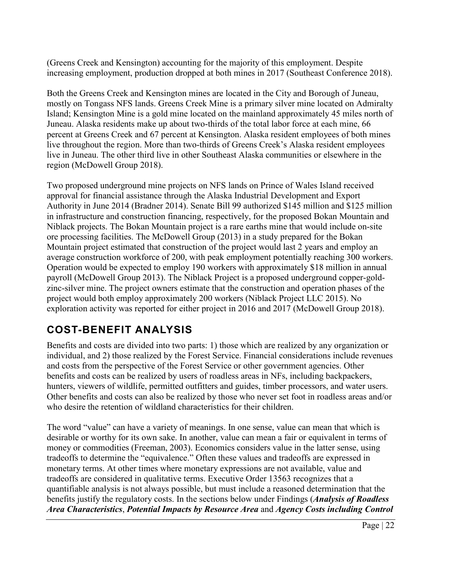(Greens Creek and Kensington) accounting for the majority of this employment. Despite increasing employment, production dropped at both mines in 2017 (Southeast Conference 2018).

Both the Greens Creek and Kensington mines are located in the City and Borough of Juneau, mostly on Tongass NFS lands. Greens Creek Mine is a primary silver mine located on Admiralty Island; Kensington Mine is a gold mine located on the mainland approximately 45 miles north of Juneau. Alaska residents make up about two-thirds of the total labor force at each mine, 66 percent at Greens Creek and 67 percent at Kensington. Alaska resident employees of both mines live throughout the region. More than two-thirds of Greens Creek's Alaska resident employees live in Juneau. The other third live in other Southeast Alaska communities or elsewhere in the region (McDowell Group 2018).

Two proposed underground mine projects on NFS lands on Prince of Wales Island received approval for financial assistance through the Alaska Industrial Development and Export Authority in June 2014 (Bradner 2014). Senate Bill 99 authorized \$145 million and \$125 million in infrastructure and construction financing, respectively, for the proposed Bokan Mountain and Niblack projects. The Bokan Mountain project is a rare earths mine that would include on-site ore processing facilities. The McDowell Group (2013) in a study prepared for the Bokan Mountain project estimated that construction of the project would last 2 years and employ an average construction workforce of 200, with peak employment potentially reaching 300 workers. Operation would be expected to employ 190 workers with approximately \$18 million in annual payroll (McDowell Group 2013). The Niblack Project is a proposed underground copper-goldzinc-silver mine. The project owners estimate that the construction and operation phases of the project would both employ approximately 200 workers (Niblack Project LLC 2015). No exploration activity was reported for either project in 2016 and 2017 (McDowell Group 2018).

# <span id="page-21-0"></span>**COST-BENEFIT ANALYSIS**

Benefits and costs are divided into two parts: 1) those which are realized by any organization or individual, and 2) those realized by the Forest Service. Financial considerations include revenues and costs from the perspective of the Forest Service or other government agencies. Other benefits and costs can be realized by users of roadless areas in NFs, including backpackers, hunters, viewers of wildlife, permitted outfitters and guides, timber processors, and water users. Other benefits and costs can also be realized by those who never set foot in roadless areas and/or who desire the retention of wildland characteristics for their children.

The word "value" can have a variety of meanings. In one sense, value can mean that which is desirable or worthy for its own sake. In another, value can mean a fair or equivalent in terms of money or commodities (Freeman, 2003). Economics considers value in the latter sense, using tradeoffs to determine the "equivalence." Often these values and tradeoffs are expressed in monetary terms. At other times where monetary expressions are not available, value and tradeoffs are considered in qualitative terms. Executive Order 13563 recognizes that a quantifiable analysis is not always possible, but must include a reasoned determination that the benefits justify the regulatory costs. In the sections below under Findings (*Analysis of Roadless Area Characteristics*, *Potential Impacts by Resource Area* and *Agency Costs including Control*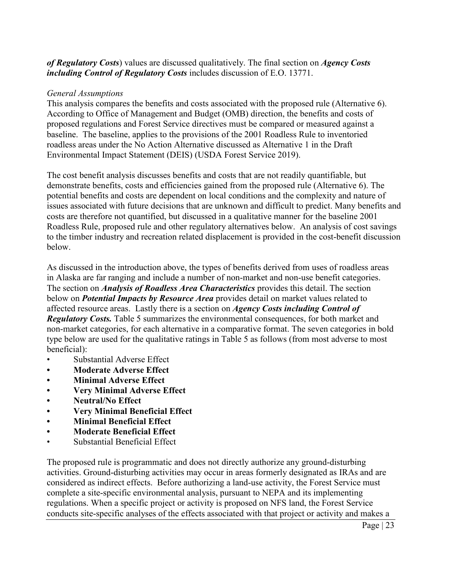*of Regulatory Costs*) values are discussed qualitatively. The final section on *Agency Costs including Control of Regulatory Costs* includes discussion of E.O. 13771.

### *General Assumptions*

This analysis compares the benefits and costs associated with the proposed rule (Alternative 6). According to Office of Management and Budget (OMB) direction, the benefits and costs of proposed regulations and Forest Service directives must be compared or measured against a baseline. The baseline, applies to the provisions of the 2001 Roadless Rule to inventoried roadless areas under the No Action Alternative discussed as Alternative 1 in the Draft Environmental Impact Statement (DEIS) (USDA Forest Service 2019).

The cost benefit analysis discusses benefits and costs that are not readily quantifiable, but demonstrate benefits, costs and efficiencies gained from the proposed rule (Alternative 6). The potential benefits and costs are dependent on local conditions and the complexity and nature of issues associated with future decisions that are unknown and difficult to predict. Many benefits and costs are therefore not quantified, but discussed in a qualitative manner for the baseline 2001 Roadless Rule, proposed rule and other regulatory alternatives below. An analysis of cost savings to the timber industry and recreation related displacement is provided in the cost-benefit discussion below.

As discussed in the introduction above, the types of benefits derived from uses of roadless areas in Alaska are far ranging and include a number of non-market and non-use benefit categories. The section on *Analysis of Roadless Area Characteristics* provides this detail. The section below on *Potential Impacts by Resource Area* provides detail on market values related to affected resource areas. Lastly there is a section on *Agency Costs including Control of Regulatory Costs.* Table 5 summarizes the environmental consequences, for both market and non-market categories, for each alternative in a comparative format. The seven categories in bold type below are used for the qualitative ratings in Table 5 as follows (from most adverse to most beneficial):

- Substantial Adverse Effect
- **• Moderate Adverse Effect**
- **• Minimal Adverse Effect**
- **• Very Minimal Adverse Effect**
- **• Neutral/No Effect**
- **• Very Minimal Beneficial Effect**
- **• Minimal Beneficial Effect**
- **• Moderate Beneficial Effect**
- Substantial Beneficial Effect

The proposed rule is programmatic and does not directly authorize any ground-disturbing activities. Ground-disturbing activities may occur in areas formerly designated as IRAs and are considered as indirect effects. Before authorizing a land-use activity, the Forest Service must complete a site-specific environmental analysis, pursuant to NEPA and its implementing regulations. When a specific project or activity is proposed on NFS land, the Forest Service conducts site-specific analyses of the effects associated with that project or activity and makes a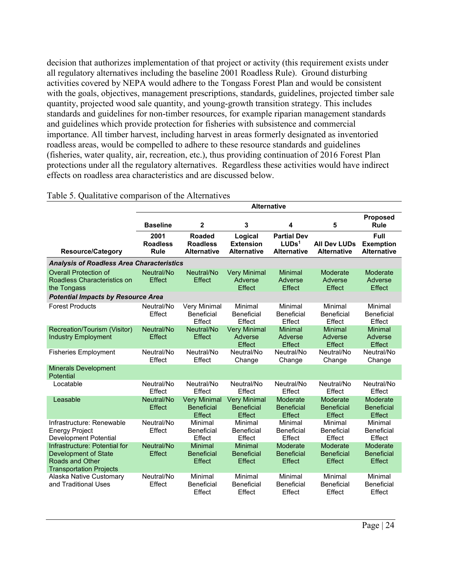decision that authorizes implementation of that project or activity (this requirement exists under all regulatory alternatives including the baseline 2001 Roadless Rule). Ground disturbing activities covered by NEPA would adhere to the Tongass Forest Plan and would be consistent with the goals, objectives, management prescriptions, standards, guidelines, projected timber sale quantity, projected wood sale quantity, and young-growth transition strategy. This includes standards and guidelines for non-timber resources, for example riparian management standards and guidelines which provide protection for fisheries with subsistence and commercial importance. All timber harvest, including harvest in areas formerly designated as inventoried roadless areas, would be compelled to adhere to these resource standards and guidelines (fisheries, water quality, air, recreation, etc.), thus providing continuation of 2016 Forest Plan protections under all the regulatory alternatives. Regardless these activities would have indirect effects on roadless area characteristics and are discussed below.

|                                                                                                            | <b>Alternative</b>                     |                                                    |                                                    |                                                               |                                                |                                                |
|------------------------------------------------------------------------------------------------------------|----------------------------------------|----------------------------------------------------|----------------------------------------------------|---------------------------------------------------------------|------------------------------------------------|------------------------------------------------|
|                                                                                                            | <b>Baseline</b>                        | $\mathbf{2}$                                       | 3                                                  | 4                                                             | 5                                              | <b>Proposed</b><br><b>Rule</b>                 |
| <b>Resource/Category</b>                                                                                   | 2001<br><b>Roadless</b><br><b>Rule</b> | Roaded<br><b>Roadless</b><br><b>Alternative</b>    | Logical<br><b>Extension</b><br><b>Alternative</b>  | <b>Partial Dev</b><br>LUDs <sup>1</sup><br><b>Alternative</b> | <b>All Dev LUDs</b><br><b>Alternative</b>      | Full<br><b>Exemption</b><br><b>Alternative</b> |
| <b>Analysis of Roadless Area Characteristics</b>                                                           |                                        |                                                    |                                                    |                                                               |                                                |                                                |
| <b>Overall Protection of</b><br>Roadless Characteristics on<br>the Tongass                                 | Neutral/No<br>Effect                   | Neutral/No<br>Effect                               | <b>Very Minimal</b><br>Adverse<br><b>Effect</b>    | <b>Minimal</b><br>Adverse<br>Effect                           | Moderate<br>Adverse<br>Effect                  | Moderate<br>Adverse<br>Effect                  |
| <b>Potential Impacts by Resource Area</b>                                                                  |                                        |                                                    |                                                    |                                                               |                                                |                                                |
| <b>Forest Products</b>                                                                                     | Neutral/No<br>Effect                   | Very Minimal<br>Beneficial<br>Effect               | Minimal<br><b>Beneficial</b><br>Effect             | Minimal<br><b>Beneficial</b><br>Effect                        | Minimal<br><b>Beneficial</b><br>Effect         | Minimal<br><b>Beneficial</b><br>Effect         |
| Recreation/Tourism (Visitor)<br><b>Industry Employment</b>                                                 | Neutral/No<br><b>Effect</b>            | Neutral/No<br>Effect                               | <b>Very Minimal</b><br>Adverse<br>Effect           | <b>Minimal</b><br>Adverse<br><b>Effect</b>                    | Minimal<br>Adverse<br>Effect                   | <b>Minimal</b><br>Adverse<br>Effect            |
| <b>Fisheries Employment</b>                                                                                | Neutral/No<br>Effect                   | Neutral/No<br>Effect                               | Neutral/No<br>Change                               | Neutral/No<br>Change                                          | Neutral/No<br>Change                           | Neutral/No<br>Change                           |
| <b>Minerals Development</b><br>Potential                                                                   |                                        |                                                    |                                                    |                                                               |                                                |                                                |
| Locatable                                                                                                  | Neutral/No<br><b>Fffect</b>            | Neutral/No<br>Effect                               | Neutral/No<br>Effect                               | Neutral/No<br>Effect                                          | Neutral/No<br>Effect                           | Neutral/No<br>Effect                           |
| Leasable                                                                                                   | Neutral/No<br>Effect                   | <b>Very Minimal</b><br><b>Beneficial</b><br>Effect | <b>Very Minimal</b><br><b>Beneficial</b><br>Effect | Moderate<br><b>Beneficial</b><br><b>Effect</b>                | Moderate<br><b>Beneficial</b><br><b>Effect</b> | Moderate<br><b>Beneficial</b><br><b>Effect</b> |
| Infrastructure: Renewable<br><b>Energy Project</b><br>Development Potential                                | Neutral/No<br>Effect                   | Minimal<br><b>Beneficial</b><br>Effect             | Minimal<br><b>Beneficial</b><br>Effect             | Minimal<br><b>Beneficial</b><br>Effect                        | Minimal<br><b>Beneficial</b><br>Effect         | Minimal<br><b>Beneficial</b><br>Effect         |
| Infrastructure: Potential for<br>Development of State<br>Roads and Other<br><b>Transportation Projects</b> | Neutral/No<br>Effect                   | <b>Minimal</b><br><b>Beneficial</b><br>Effect      | <b>Minimal</b><br><b>Beneficial</b><br>Effect      | Moderate<br><b>Beneficial</b><br><b>Effect</b>                | Moderate<br><b>Beneficial</b><br>Effect        | Moderate<br><b>Beneficial</b><br>Effect        |
| Alaska Native Customary<br>and Traditional Uses                                                            | Neutral/No<br>Effect                   | Minimal<br><b>Beneficial</b><br>Effect             | Minimal<br><b>Beneficial</b><br>Effect             | Minimal<br><b>Beneficial</b><br>Effect                        | Minimal<br><b>Beneficial</b><br>Effect         | Minimal<br><b>Beneficial</b><br>Effect         |

### Table 5. Qualitative comparison of the Alternatives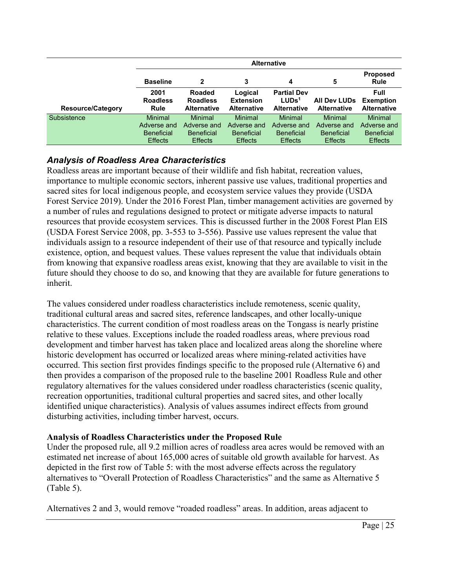|                          | <b>Alternative</b>              |                                                        |                                                   |                                                               |                                           |                                                |
|--------------------------|---------------------------------|--------------------------------------------------------|---------------------------------------------------|---------------------------------------------------------------|-------------------------------------------|------------------------------------------------|
|                          | <b>Baseline</b>                 | 2                                                      | 3                                                 | 4                                                             | 5                                         | <b>Proposed</b><br><b>Rule</b>                 |
| <b>Resource/Category</b> | 2001<br><b>Roadless</b><br>Rule | <b>Roaded</b><br><b>Roadless</b><br><b>Alternative</b> | Logical<br><b>Extension</b><br><b>Alternative</b> | <b>Partial Dev</b><br>LUDs <sup>1</sup><br><b>Alternative</b> | <b>All Dev LUDs</b><br><b>Alternative</b> | Full<br><b>Exemption</b><br><b>Alternative</b> |
| Subsistence              | Minimal                         | Minimal                                                | <b>Minimal</b>                                    | Minimal                                                       | <b>Minimal</b>                            | <b>Minimal</b>                                 |
|                          | Adverse and                     | Adverse and                                            | Adverse and                                       | Adverse and                                                   | Adverse and                               | Adverse and                                    |
|                          | <b>Beneficial</b>               | <b>Beneficial</b>                                      | <b>Beneficial</b>                                 | <b>Beneficial</b>                                             | <b>Beneficial</b>                         | <b>Beneficial</b>                              |
|                          | <b>Effects</b>                  | <b>Effects</b>                                         | <b>Effects</b>                                    | <b>Effects</b>                                                | <b>Effects</b>                            | <b>Effects</b>                                 |

## <span id="page-24-0"></span>*Analysis of Roadless Area Characteristics*

Roadless areas are important because of their wildlife and fish habitat, recreation values, importance to multiple economic sectors, inherent passive use values, traditional properties and sacred sites for local indigenous people, and ecosystem service values they provide (USDA Forest Service 2019). Under the 2016 Forest Plan, timber management activities are governed by a number of rules and regulations designed to protect or mitigate adverse impacts to natural resources that provide ecosystem services. This is discussed further in the 2008 Forest Plan EIS (USDA Forest Service 2008, pp. 3-553 to 3-556). Passive use values represent the value that individuals assign to a resource independent of their use of that resource and typically include existence, option, and bequest values. These values represent the value that individuals obtain from knowing that expansive roadless areas exist, knowing that they are available to visit in the future should they choose to do so, and knowing that they are available for future generations to inherit.

The values considered under roadless characteristics include remoteness, scenic quality, traditional cultural areas and sacred sites, reference landscapes, and other locally-unique characteristics. The current condition of most roadless areas on the Tongass is nearly pristine relative to these values. Exceptions include the roaded roadless areas, where previous road development and timber harvest has taken place and localized areas along the shoreline where historic development has occurred or localized areas where mining-related activities have occurred. This section first provides findings specific to the proposed rule (Alternative 6) and then provides a comparison of the proposed rule to the baseline 2001 Roadless Rule and other regulatory alternatives for the values considered under roadless characteristics (scenic quality, recreation opportunities, traditional cultural properties and sacred sites, and other locally identified unique characteristics). Analysis of values assumes indirect effects from ground disturbing activities, including timber harvest, occurs.

## **Analysis of Roadless Characteristics under the Proposed Rule**

Under the proposed rule, all 9.2 million acres of roadless area acres would be removed with an estimated net increase of about 165,000 acres of suitable old growth available for harvest. As depicted in the first row of Table 5: with the most adverse effects across the regulatory alternatives to "Overall Protection of Roadless Characteristics" and the same as Alternative 5 (Table 5).

Alternatives 2 and 3, would remove "roaded roadless" areas. In addition, areas adjacent to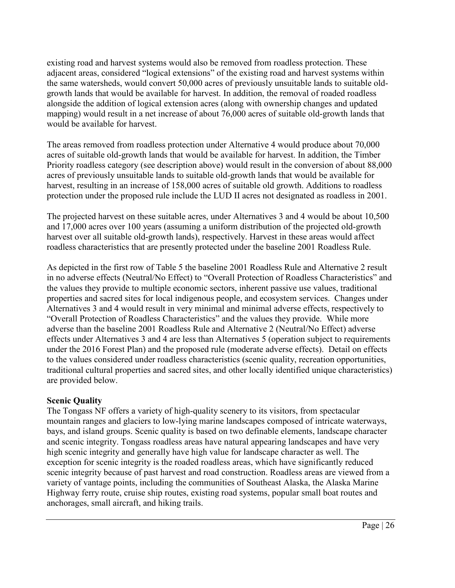existing road and harvest systems would also be removed from roadless protection. These adjacent areas, considered "logical extensions" of the existing road and harvest systems within the same watersheds, would convert 50,000 acres of previously unsuitable lands to suitable oldgrowth lands that would be available for harvest. In addition, the removal of roaded roadless alongside the addition of logical extension acres (along with ownership changes and updated mapping) would result in a net increase of about 76,000 acres of suitable old-growth lands that would be available for harvest.

The areas removed from roadless protection under Alternative 4 would produce about 70,000 acres of suitable old-growth lands that would be available for harvest. In addition, the Timber Priority roadless category (see description above) would result in the conversion of about 88,000 acres of previously unsuitable lands to suitable old-growth lands that would be available for harvest, resulting in an increase of 158,000 acres of suitable old growth. Additions to roadless protection under the proposed rule include the LUD II acres not designated as roadless in 2001.

The projected harvest on these suitable acres, under Alternatives 3 and 4 would be about 10,500 and 17,000 acres over 100 years (assuming a uniform distribution of the projected old-growth harvest over all suitable old-growth lands), respectively. Harvest in these areas would affect roadless characteristics that are presently protected under the baseline 2001 Roadless Rule.

As depicted in the first row of Table 5 the baseline 2001 Roadless Rule and Alternative 2 result in no adverse effects (Neutral/No Effect) to "Overall Protection of Roadless Characteristics" and the values they provide to multiple economic sectors, inherent passive use values, traditional properties and sacred sites for local indigenous people, and ecosystem services. Changes under Alternatives 3 and 4 would result in very minimal and minimal adverse effects, respectively to "Overall Protection of Roadless Characteristics" and the values they provide. While more adverse than the baseline 2001 Roadless Rule and Alternative 2 (Neutral/No Effect) adverse effects under Alternatives 3 and 4 are less than Alternatives 5 (operation subject to requirements under the 2016 Forest Plan) and the proposed rule (moderate adverse effects). Detail on effects to the values considered under roadless characteristics (scenic quality, recreation opportunities, traditional cultural properties and sacred sites, and other locally identified unique characteristics) are provided below.

## **Scenic Quality**

The Tongass NF offers a variety of high-quality scenery to its visitors, from spectacular mountain ranges and glaciers to low-lying marine landscapes composed of intricate waterways, bays, and island groups. Scenic quality is based on two definable elements, landscape character and scenic integrity. Tongass roadless areas have natural appearing landscapes and have very high scenic integrity and generally have high value for landscape character as well. The exception for scenic integrity is the roaded roadless areas, which have significantly reduced scenic integrity because of past harvest and road construction. Roadless areas are viewed from a variety of vantage points, including the communities of Southeast Alaska, the Alaska Marine Highway ferry route, cruise ship routes, existing road systems, popular small boat routes and anchorages, small aircraft, and hiking trails.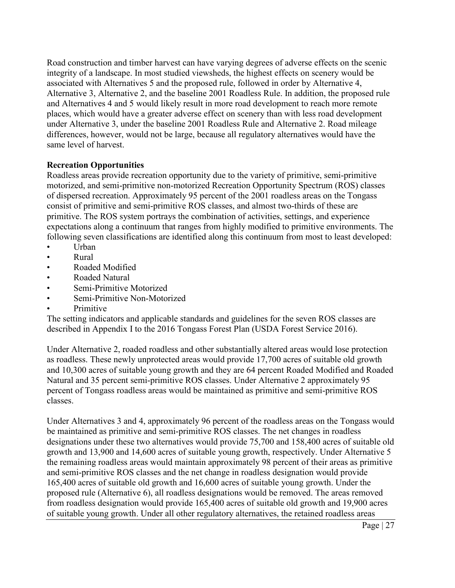Road construction and timber harvest can have varying degrees of adverse effects on the scenic integrity of a landscape. In most studied viewsheds, the highest effects on scenery would be associated with Alternatives 5 and the proposed rule, followed in order by Alternative 4, Alternative 3, Alternative 2, and the baseline 2001 Roadless Rule. In addition, the proposed rule and Alternatives 4 and 5 would likely result in more road development to reach more remote places, which would have a greater adverse effect on scenery than with less road development under Alternative 3, under the baseline 2001 Roadless Rule and Alternative 2. Road mileage differences, however, would not be large, because all regulatory alternatives would have the same level of harvest.

## **Recreation Opportunities**

Roadless areas provide recreation opportunity due to the variety of primitive, semi-primitive motorized, and semi-primitive non-motorized Recreation Opportunity Spectrum (ROS) classes of dispersed recreation. Approximately 95 percent of the 2001 roadless areas on the Tongass consist of primitive and semi-primitive ROS classes, and almost two-thirds of these are primitive. The ROS system portrays the combination of activities, settings, and experience expectations along a continuum that ranges from highly modified to primitive environments. The following seven classifications are identified along this continuum from most to least developed:

- Urban
- Rural
- Roaded Modified
- Roaded Natural
- Semi-Primitive Motorized
- Semi-Primitive Non-Motorized
- **Primitive**

The setting indicators and applicable standards and guidelines for the seven ROS classes are described in Appendix I to the 2016 Tongass Forest Plan (USDA Forest Service 2016).

Under Alternative 2, roaded roadless and other substantially altered areas would lose protection as roadless. These newly unprotected areas would provide 17,700 acres of suitable old growth and 10,300 acres of suitable young growth and they are 64 percent Roaded Modified and Roaded Natural and 35 percent semi-primitive ROS classes. Under Alternative 2 approximately 95 percent of Tongass roadless areas would be maintained as primitive and semi-primitive ROS classes.

Under Alternatives 3 and 4, approximately 96 percent of the roadless areas on the Tongass would be maintained as primitive and semi-primitive ROS classes. The net changes in roadless designations under these two alternatives would provide 75,700 and 158,400 acres of suitable old growth and 13,900 and 14,600 acres of suitable young growth, respectively. Under Alternative 5 the remaining roadless areas would maintain approximately 98 percent of their areas as primitive and semi-primitive ROS classes and the net change in roadless designation would provide 165,400 acres of suitable old growth and 16,600 acres of suitable young growth. Under the proposed rule (Alternative 6), all roadless designations would be removed. The areas removed from roadless designation would provide 165,400 acres of suitable old growth and 19,900 acres of suitable young growth. Under all other regulatory alternatives, the retained roadless areas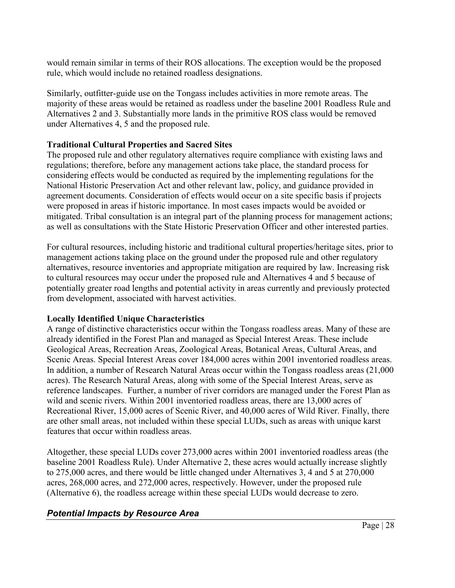would remain similar in terms of their ROS allocations. The exception would be the proposed rule, which would include no retained roadless designations.

Similarly, outfitter-guide use on the Tongass includes activities in more remote areas. The majority of these areas would be retained as roadless under the baseline 2001 Roadless Rule and Alternatives 2 and 3. Substantially more lands in the primitive ROS class would be removed under Alternatives 4, 5 and the proposed rule.

## **Traditional Cultural Properties and Sacred Sites**

The proposed rule and other regulatory alternatives require compliance with existing laws and regulations; therefore, before any management actions take place, the standard process for considering effects would be conducted as required by the implementing regulations for the National Historic Preservation Act and other relevant law, policy, and guidance provided in agreement documents. Consideration of effects would occur on a site specific basis if projects were proposed in areas if historic importance. In most cases impacts would be avoided or mitigated. Tribal consultation is an integral part of the planning process for management actions; as well as consultations with the State Historic Preservation Officer and other interested parties.

For cultural resources, including historic and traditional cultural properties/heritage sites, prior to management actions taking place on the ground under the proposed rule and other regulatory alternatives, resource inventories and appropriate mitigation are required by law. Increasing risk to cultural resources may occur under the proposed rule and Alternatives 4 and 5 because of potentially greater road lengths and potential activity in areas currently and previously protected from development, associated with harvest activities.

## **Locally Identified Unique Characteristics**

A range of distinctive characteristics occur within the Tongass roadless areas. Many of these are already identified in the Forest Plan and managed as Special Interest Areas. These include Geological Areas, Recreation Areas, Zoological Areas, Botanical Areas, Cultural Areas, and Scenic Areas. Special Interest Areas cover 184,000 acres within 2001 inventoried roadless areas. In addition, a number of Research Natural Areas occur within the Tongass roadless areas (21,000 acres). The Research Natural Areas, along with some of the Special Interest Areas, serve as reference landscapes. Further, a number of river corridors are managed under the Forest Plan as wild and scenic rivers. Within 2001 inventoried roadless areas, there are 13,000 acres of Recreational River, 15,000 acres of Scenic River, and 40,000 acres of Wild River. Finally, there are other small areas, not included within these special LUDs, such as areas with unique karst features that occur within roadless areas.

Altogether, these special LUDs cover 273,000 acres within 2001 inventoried roadless areas (the baseline 2001 Roadless Rule). Under Alternative 2, these acres would actually increase slightly to 275,000 acres, and there would be little changed under Alternatives 3, 4 and 5 at 270,000 acres, 268,000 acres, and 272,000 acres, respectively. However, under the proposed rule (Alternative 6), the roadless acreage within these special LUDs would decrease to zero.

## <span id="page-27-0"></span>*Potential Impacts by Resource Area*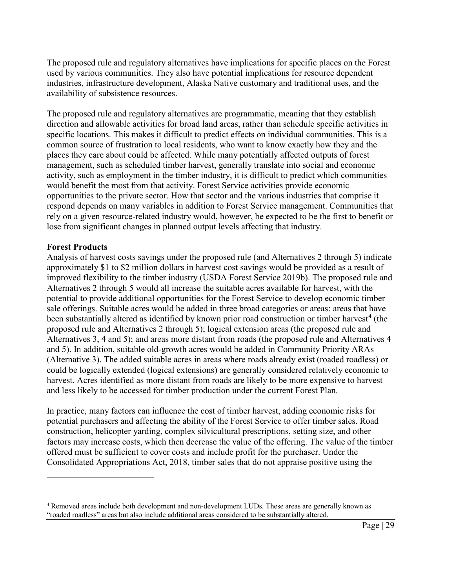The proposed rule and regulatory alternatives have implications for specific places on the Forest used by various communities. They also have potential implications for resource dependent industries, infrastructure development, Alaska Native customary and traditional uses, and the availability of subsistence resources.

The proposed rule and regulatory alternatives are programmatic, meaning that they establish direction and allowable activities for broad land areas, rather than schedule specific activities in specific locations. This makes it difficult to predict effects on individual communities. This is a common source of frustration to local residents, who want to know exactly how they and the places they care about could be affected. While many potentially affected outputs of forest management, such as scheduled timber harvest, generally translate into social and economic activity, such as employment in the timber industry, it is difficult to predict which communities would benefit the most from that activity. Forest Service activities provide economic opportunities to the private sector. How that sector and the various industries that comprise it respond depends on many variables in addition to Forest Service management. Communities that rely on a given resource-related industry would, however, be expected to be the first to benefit or lose from significant changes in planned output levels affecting that industry.

### **Forest Products**

 $\overline{a}$ 

Analysis of harvest costs savings under the proposed rule (and Alternatives 2 through 5) indicate approximately \$1 to \$2 million dollars in harvest cost savings would be provided as a result of improved flexibility to the timber industry (USDA Forest Service 2019b). The proposed rule and Alternatives 2 through 5 would all increase the suitable acres available for harvest, with the potential to provide additional opportunities for the Forest Service to develop economic timber sale offerings. Suitable acres would be added in three broad categories or areas: areas that have been substantially altered as identified by known prior road construction or timber harvest<sup>[4](#page-28-0)</sup> (the proposed rule and Alternatives 2 through 5); logical extension areas (the proposed rule and Alternatives 3, 4 and 5); and areas more distant from roads (the proposed rule and Alternatives 4 and 5). In addition, suitable old-growth acres would be added in Community Priority ARAs (Alternative 3). The added suitable acres in areas where roads already exist (roaded roadless) or could be logically extended (logical extensions) are generally considered relatively economic to harvest. Acres identified as more distant from roads are likely to be more expensive to harvest and less likely to be accessed for timber production under the current Forest Plan.

In practice, many factors can influence the cost of timber harvest, adding economic risks for potential purchasers and affecting the ability of the Forest Service to offer timber sales. Road construction, helicopter yarding, complex silvicultural prescriptions, setting size, and other factors may increase costs, which then decrease the value of the offering. The value of the timber offered must be sufficient to cover costs and include profit for the purchaser. Under the Consolidated Appropriations Act, 2018, timber sales that do not appraise positive using the

<span id="page-28-0"></span><sup>&</sup>lt;sup>4</sup> Removed areas include both development and non-development LUDs. These areas are generally known as "roaded roadless" areas but also include additional areas considered to be substantially altered.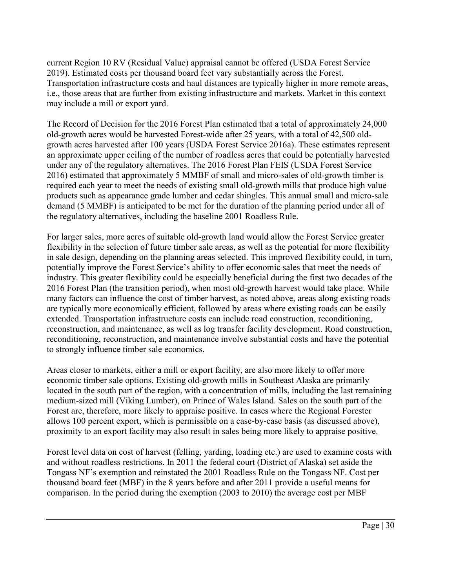current Region 10 RV (Residual Value) appraisal cannot be offered (USDA Forest Service 2019). Estimated costs per thousand board feet vary substantially across the Forest. Transportation infrastructure costs and haul distances are typically higher in more remote areas, i.e., those areas that are further from existing infrastructure and markets. Market in this context may include a mill or export yard.

The Record of Decision for the 2016 Forest Plan estimated that a total of approximately 24,000 old-growth acres would be harvested Forest-wide after 25 years, with a total of 42,500 oldgrowth acres harvested after 100 years (USDA Forest Service 2016a). These estimates represent an approximate upper ceiling of the number of roadless acres that could be potentially harvested under any of the regulatory alternatives. The 2016 Forest Plan FEIS (USDA Forest Service 2016) estimated that approximately 5 MMBF of small and micro-sales of old-growth timber is required each year to meet the needs of existing small old-growth mills that produce high value products such as appearance grade lumber and cedar shingles. This annual small and micro-sale demand (5 MMBF) is anticipated to be met for the duration of the planning period under all of the regulatory alternatives, including the baseline 2001 Roadless Rule.

For larger sales, more acres of suitable old-growth land would allow the Forest Service greater flexibility in the selection of future timber sale areas, as well as the potential for more flexibility in sale design, depending on the planning areas selected. This improved flexibility could, in turn, potentially improve the Forest Service's ability to offer economic sales that meet the needs of industry. This greater flexibility could be especially beneficial during the first two decades of the 2016 Forest Plan (the transition period), when most old-growth harvest would take place. While many factors can influence the cost of timber harvest, as noted above, areas along existing roads are typically more economically efficient, followed by areas where existing roads can be easily extended. Transportation infrastructure costs can include road construction, reconditioning, reconstruction, and maintenance, as well as log transfer facility development. Road construction, reconditioning, reconstruction, and maintenance involve substantial costs and have the potential to strongly influence timber sale economics.

Areas closer to markets, either a mill or export facility, are also more likely to offer more economic timber sale options. Existing old-growth mills in Southeast Alaska are primarily located in the south part of the region, with a concentration of mills, including the last remaining medium-sized mill (Viking Lumber), on Prince of Wales Island. Sales on the south part of the Forest are, therefore, more likely to appraise positive. In cases where the Regional Forester allows 100 percent export, which is permissible on a case-by-case basis (as discussed above), proximity to an export facility may also result in sales being more likely to appraise positive.

Forest level data on cost of harvest (felling, yarding, loading etc.) are used to examine costs with and without roadless restrictions. In 2011 the federal court (District of Alaska) set aside the Tongass NF's exemption and reinstated the 2001 Roadless Rule on the Tongass NF. Cost per thousand board feet (MBF) in the 8 years before and after 2011 provide a useful means for comparison. In the period during the exemption (2003 to 2010) the average cost per MBF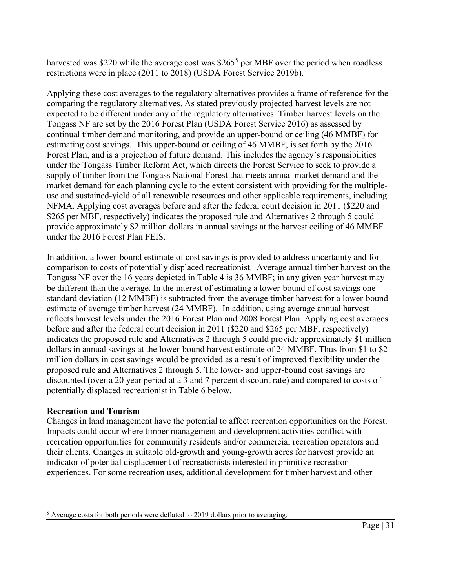harvested was \$220 while the average cost was  $$265<sup>5</sup>$  $$265<sup>5</sup>$  $$265<sup>5</sup>$  per MBF over the period when roadless restrictions were in place (2011 to 2018) (USDA Forest Service 2019b).

Applying these cost averages to the regulatory alternatives provides a frame of reference for the comparing the regulatory alternatives. As stated previously projected harvest levels are not expected to be different under any of the regulatory alternatives. Timber harvest levels on the Tongass NF are set by the 2016 Forest Plan (USDA Forest Service 2016) as assessed by continual timber demand monitoring, and provide an upper-bound or ceiling (46 MMBF) for estimating cost savings. This upper-bound or ceiling of 46 MMBF, is set forth by the 2016 Forest Plan, and is a projection of future demand. This includes the agency's responsibilities under the Tongass Timber Reform Act, which directs the Forest Service to seek to provide a supply of timber from the Tongass National Forest that meets annual market demand and the market demand for each planning cycle to the extent consistent with providing for the multipleuse and sustained-yield of all renewable resources and other applicable requirements, including NFMA. Applying cost averages before and after the federal court decision in 2011 (\$220 and \$265 per MBF, respectively) indicates the proposed rule and Alternatives 2 through 5 could provide approximately \$2 million dollars in annual savings at the harvest ceiling of 46 MMBF under the 2016 Forest Plan FEIS.

In addition, a lower-bound estimate of cost savings is provided to address uncertainty and for comparison to costs of potentially displaced recreationist. Average annual timber harvest on the Tongass NF over the 16 years depicted in Table 4 is 36 MMBF; in any given year harvest may be different than the average. In the interest of estimating a lower-bound of cost savings one standard deviation (12 MMBF) is subtracted from the average timber harvest for a lower-bound estimate of average timber harvest (24 MMBF). In addition, using average annual harvest reflects harvest levels under the 2016 Forest Plan and 2008 Forest Plan. Applying cost averages before and after the federal court decision in 2011 (\$220 and \$265 per MBF, respectively) indicates the proposed rule and Alternatives 2 through 5 could provide approximately \$1 million dollars in annual savings at the lower-bound harvest estimate of 24 MMBF. Thus from \$1 to \$2 million dollars in cost savings would be provided as a result of improved flexibility under the proposed rule and Alternatives 2 through 5. The lower- and upper-bound cost savings are discounted (over a 20 year period at a 3 and 7 percent discount rate) and compared to costs of potentially displaced recreationist in Table 6 below.

## **Recreation and Tourism**

 $\overline{a}$ 

Changes in land management have the potential to affect recreation opportunities on the Forest. Impacts could occur where timber management and development activities conflict with recreation opportunities for community residents and/or commercial recreation operators and their clients. Changes in suitable old-growth and young-growth acres for harvest provide an indicator of potential displacement of recreationists interested in primitive recreation experiences. For some recreation uses, additional development for timber harvest and other

<span id="page-30-0"></span><sup>&</sup>lt;sup>5</sup> Average costs for both periods were deflated to 2019 dollars prior to averaging.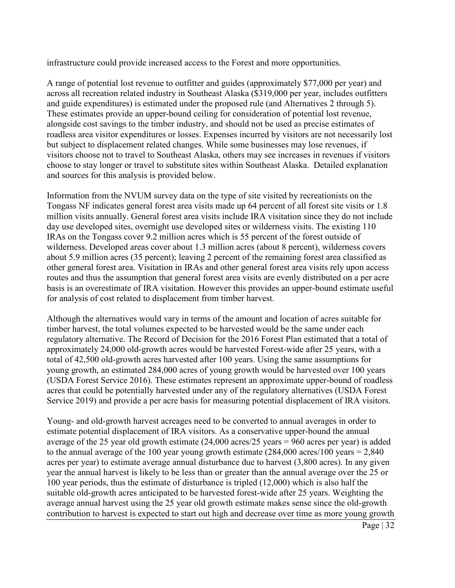infrastructure could provide increased access to the Forest and more opportunities.

A range of potential lost revenue to outfitter and guides (approximately \$77,000 per year) and across all recreation related industry in Southeast Alaska (\$319,000 per year, includes outfitters and guide expenditures) is estimated under the proposed rule (and Alternatives 2 through 5). These estimates provide an upper-bound ceiling for consideration of potential lost revenue, alongside cost savings to the timber industry, and should not be used as precise estimates of roadless area visitor expenditures or losses. Expenses incurred by visitors are not necessarily lost but subject to displacement related changes. While some businesses may lose revenues, if visitors choose not to travel to Southeast Alaska, others may see increases in revenues if visitors choose to stay longer or travel to substitute sites within Southeast Alaska. Detailed explanation and sources for this analysis is provided below.

Information from the NVUM survey data on the type of site visited by recreationists on the Tongass NF indicates general forest area visits made up 64 percent of all forest site visits or 1.8 million visits annually. General forest area visits include IRA visitation since they do not include day use developed sites, overnight use developed sites or wilderness visits. The existing 110 IRAs on the Tongass cover 9.2 million acres which is 55 percent of the forest outside of wilderness. Developed areas cover about 1.3 million acres (about 8 percent), wilderness covers about 5.9 million acres (35 percent); leaving 2 percent of the remaining forest area classified as other general forest area. Visitation in IRAs and other general forest area visits rely upon access routes and thus the assumption that general forest area visits are evenly distributed on a per acre basis is an overestimate of IRA visitation. However this provides an upper-bound estimate useful for analysis of cost related to displacement from timber harvest.

Although the alternatives would vary in terms of the amount and location of acres suitable for timber harvest, the total volumes expected to be harvested would be the same under each regulatory alternative. The Record of Decision for the 2016 Forest Plan estimated that a total of approximately 24,000 old-growth acres would be harvested Forest-wide after 25 years, with a total of 42,500 old-growth acres harvested after 100 years. Using the same assumptions for young growth, an estimated 284,000 acres of young growth would be harvested over 100 years (USDA Forest Service 2016). These estimates represent an approximate upper-bound of roadless acres that could be potentially harvested under any of the regulatory alternatives (USDA Forest Service 2019) and provide a per acre basis for measuring potential displacement of IRA visitors.

Young- and old-growth harvest acreages need to be converted to annual averages in order to estimate potential displacement of IRA visitors. As a conservative upper-bound the annual average of the 25 year old growth estimate (24,000 acres/25 years = 960 acres per year) is added to the annual average of the 100 year young growth estimate  $(284,000 \text{ acres}/100 \text{ years} = 2,840$ acres per year) to estimate average annual disturbance due to harvest (3,800 acres). In any given year the annual harvest is likely to be less than or greater than the annual average over the 25 or 100 year periods, thus the estimate of disturbance is tripled (12,000) which is also half the suitable old-growth acres anticipated to be harvested forest-wide after 25 years. Weighting the average annual harvest using the 25 year old growth estimate makes sense since the old-growth contribution to harvest is expected to start out high and decrease over time as more young growth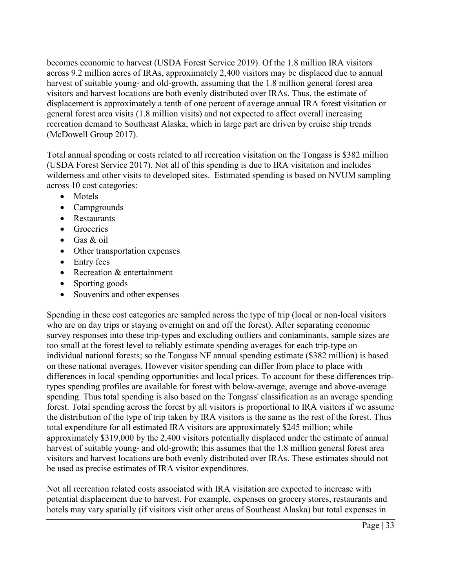becomes economic to harvest (USDA Forest Service 2019). Of the 1.8 million IRA visitors across 9.2 million acres of IRAs, approximately 2,400 visitors may be displaced due to annual harvest of suitable young- and old-growth, assuming that the 1.8 million general forest area visitors and harvest locations are both evenly distributed over IRAs. Thus, the estimate of displacement is approximately a tenth of one percent of average annual IRA forest visitation or general forest area visits (1.8 million visits) and not expected to affect overall increasing recreation demand to Southeast Alaska, which in large part are driven by cruise ship trends (McDowell Group 2017).

Total annual spending or costs related to all recreation visitation on the Tongass is \$382 million (USDA Forest Service 2017). Not all of this spending is due to IRA visitation and includes wilderness and other visits to developed sites. Estimated spending is based on NVUM sampling across 10 cost categories:

- Motels
- Campgrounds
- Restaurants
- Groceries
- Gas & oil
- Other transportation expenses
- Entry fees
- Recreation & entertainment
- Sporting goods
- Souvenirs and other expenses

Spending in these cost categories are sampled across the type of trip (local or non-local visitors who are on day trips or staying overnight on and off the forest). After separating economic survey responses into these trip-types and excluding outliers and contaminants, sample sizes are too small at the forest level to reliably estimate spending averages for each trip-type on individual national forests; so the Tongass NF annual spending estimate (\$382 million) is based on these national averages. However visitor spending can differ from place to place with differences in local spending opportunities and local prices. To account for these differences triptypes spending profiles are available for forest with below-average, average and above-average spending. Thus total spending is also based on the Tongass' classification as an average spending forest. Total spending across the forest by all visitors is proportional to IRA visitors if we assume the distribution of the type of trip taken by IRA visitors is the same as the rest of the forest. Thus total expenditure for all estimated IRA visitors are approximately \$245 million; while approximately \$319,000 by the 2,400 visitors potentially displaced under the estimate of annual harvest of suitable young- and old-growth; this assumes that the 1.8 million general forest area visitors and harvest locations are both evenly distributed over IRAs. These estimates should not be used as precise estimates of IRA visitor expenditures.

Not all recreation related costs associated with IRA visitation are expected to increase with potential displacement due to harvest. For example, expenses on grocery stores, restaurants and hotels may vary spatially (if visitors visit other areas of Southeast Alaska) but total expenses in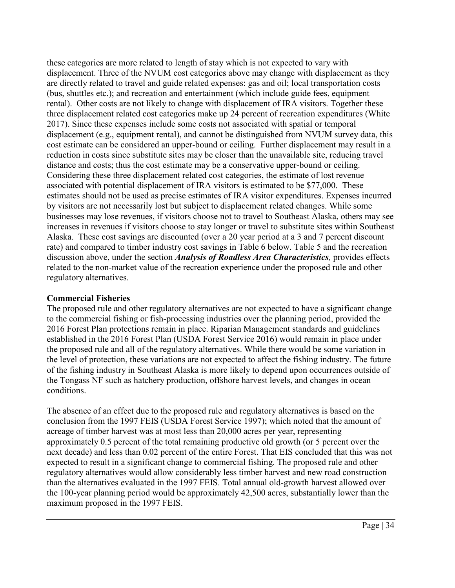these categories are more related to length of stay which is not expected to vary with displacement. Three of the NVUM cost categories above may change with displacement as they are directly related to travel and guide related expenses: gas and oil; local transportation costs (bus, shuttles etc.); and recreation and entertainment (which include guide fees, equipment rental). Other costs are not likely to change with displacement of IRA visitors. Together these three displacement related cost categories make up 24 percent of recreation expenditures (White 2017). Since these expenses include some costs not associated with spatial or temporal displacement (e.g., equipment rental), and cannot be distinguished from NVUM survey data, this cost estimate can be considered an upper-bound or ceiling. Further displacement may result in a reduction in costs since substitute sites may be closer than the unavailable site, reducing travel distance and costs; thus the cost estimate may be a conservative upper-bound or ceiling. Considering these three displacement related cost categories, the estimate of lost revenue associated with potential displacement of IRA visitors is estimated to be \$77,000. These estimates should not be used as precise estimates of IRA visitor expenditures. Expenses incurred by visitors are not necessarily lost but subject to displacement related changes. While some businesses may lose revenues, if visitors choose not to travel to Southeast Alaska, others may see increases in revenues if visitors choose to stay longer or travel to substitute sites within Southeast Alaska. These cost savings are discounted (over a 20 year period at a 3 and 7 percent discount rate) and compared to timber industry cost savings in Table 6 below. Table 5 and the recreation discussion above, under the section *Analysis of Roadless Area Characteristics,* provides effects related to the non-market value of the recreation experience under the proposed rule and other regulatory alternatives.

## **Commercial Fisheries**

The proposed rule and other regulatory alternatives are not expected to have a significant change to the commercial fishing or fish-processing industries over the planning period, provided the 2016 Forest Plan protections remain in place. Riparian Management standards and guidelines established in the 2016 Forest Plan (USDA Forest Service 2016) would remain in place under the proposed rule and all of the regulatory alternatives. While there would be some variation in the level of protection, these variations are not expected to affect the fishing industry. The future of the fishing industry in Southeast Alaska is more likely to depend upon occurrences outside of the Tongass NF such as hatchery production, offshore harvest levels, and changes in ocean conditions.

The absence of an effect due to the proposed rule and regulatory alternatives is based on the conclusion from the 1997 FEIS (USDA Forest Service 1997); which noted that the amount of acreage of timber harvest was at most less than 20,000 acres per year, representing approximately 0.5 percent of the total remaining productive old growth (or 5 percent over the next decade) and less than 0.02 percent of the entire Forest. That EIS concluded that this was not expected to result in a significant change to commercial fishing. The proposed rule and other regulatory alternatives would allow considerably less timber harvest and new road construction than the alternatives evaluated in the 1997 FEIS. Total annual old-growth harvest allowed over the 100-year planning period would be approximately 42,500 acres, substantially lower than the maximum proposed in the 1997 FEIS.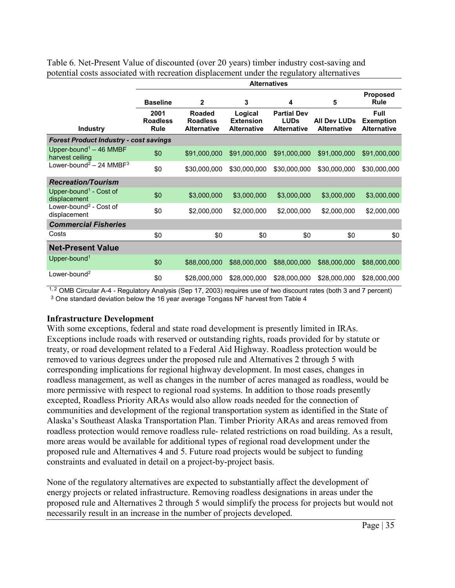|                                                         | <b>Alternatives</b>                    |                                                        |                                                   |                                                         |                                           |                                                       |
|---------------------------------------------------------|----------------------------------------|--------------------------------------------------------|---------------------------------------------------|---------------------------------------------------------|-------------------------------------------|-------------------------------------------------------|
|                                                         | <b>Baseline</b>                        | $\mathbf{2}$                                           | 3                                                 | 4                                                       | 5                                         | <b>Proposed</b><br><b>Rule</b>                        |
| <b>Industry</b>                                         | 2001<br><b>Roadless</b><br><b>Rule</b> | <b>Roaded</b><br><b>Roadless</b><br><b>Alternative</b> | Logical<br><b>Extension</b><br><b>Alternative</b> | <b>Partial Dev</b><br><b>LUDs</b><br><b>Alternative</b> | <b>All Dev LUDs</b><br><b>Alternative</b> | <b>Full</b><br><b>Exemption</b><br><b>Alternative</b> |
| <b>Forest Product Industry - cost savings</b>           |                                        |                                                        |                                                   |                                                         |                                           |                                                       |
| Upper-bound <sup>1</sup> $-$ 46 MMBF<br>harvest ceiling | \$0                                    | \$91,000,000                                           | \$91,000,000                                      | \$91,000,000                                            | \$91,000,000                              | \$91,000,000                                          |
| Lower-bound <sup>2</sup> - 24 MMBF <sup>3</sup>         | \$0                                    | \$30,000,000                                           | \$30,000,000                                      | \$30,000,000                                            | \$30,000,000                              | \$30,000,000                                          |
| <b>Recreation/Tourism</b>                               |                                        |                                                        |                                                   |                                                         |                                           |                                                       |
| Upper-bound <sup>1</sup> - Cost of<br>displacement      | \$0                                    | \$3,000,000                                            | \$3,000,000                                       | \$3,000,000                                             | \$3,000,000                               | \$3,000,000                                           |
| Lower-bound <sup>2</sup> - Cost of<br>displacement      | \$0                                    | \$2,000,000                                            | \$2,000,000                                       | \$2,000,000                                             | \$2,000,000                               | \$2,000,000                                           |
| <b>Commercial Fisheries</b>                             |                                        |                                                        |                                                   |                                                         |                                           |                                                       |
| Costs                                                   | \$0                                    | \$0                                                    | \$0                                               | \$0                                                     | \$0                                       | \$0                                                   |
| <b>Net-Present Value</b>                                |                                        |                                                        |                                                   |                                                         |                                           |                                                       |
| Upper-bound <sup>1</sup>                                | \$0                                    | \$88,000,000                                           | \$88,000,000                                      | \$88,000,000                                            | \$88,000,000                              | \$88,000,000                                          |
| Lower-bound <sup>2</sup>                                | \$0                                    | \$28,000,000                                           | \$28,000,000                                      | \$28,000,000                                            | \$28,000,000                              | \$28,000,000                                          |

Table 6. Net-Present Value of discounted (over 20 years) timber industry cost-saving and potential costs associated with recreation displacement under the regulatory alternatives

1, 2 OMB Circular A-4 - Regulatory Analysis (Sep 17, 2003) requires use of two discount rates (both 3 and 7 percent) <sup>3</sup> One standard deviation below the 16 year average Tongass NF harvest from Table 4

## **Infrastructure Development**

With some exceptions, federal and state road development is presently limited in IRAs. Exceptions include roads with reserved or outstanding rights, roads provided for by statute or treaty, or road development related to a Federal Aid Highway. Roadless protection would be removed to various degrees under the proposed rule and Alternatives 2 through 5 with corresponding implications for regional highway development. In most cases, changes in roadless management, as well as changes in the number of acres managed as roadless, would be more permissive with respect to regional road systems. In addition to those roads presently excepted, Roadless Priority ARAs would also allow roads needed for the connection of communities and development of the regional transportation system as identified in the State of Alaska's Southeast Alaska Transportation Plan. Timber Priority ARAs and areas removed from roadless protection would remove roadless rule- related restrictions on road building. As a result, more areas would be available for additional types of regional road development under the proposed rule and Alternatives 4 and 5. Future road projects would be subject to funding constraints and evaluated in detail on a project-by-project basis.

None of the regulatory alternatives are expected to substantially affect the development of energy projects or related infrastructure. Removing roadless designations in areas under the proposed rule and Alternatives 2 through 5 would simplify the process for projects but would not necessarily result in an increase in the number of projects developed.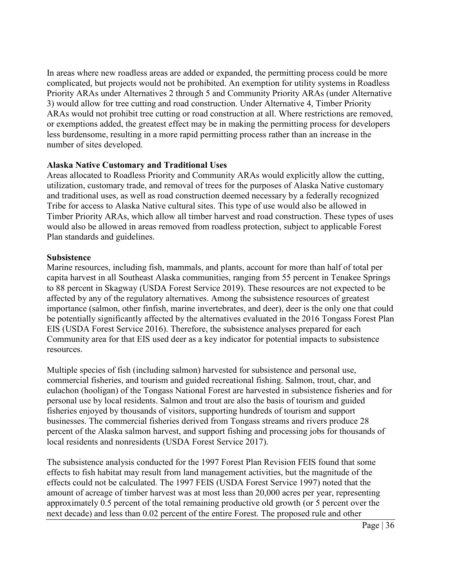In areas where new roadless areas are added or expanded, the permitting process could be more complicated, but projects would not be prohibited. An exemption for utility systems in Roadless Priority ARAs under Alternatives 2 through 5 and Community Priority ARAs (under Alternative 3) would allow for tree cutting and road construction. Under Alternative 4, Timber Priority ARAs would not prohibit tree cutting or road construction at all. Where restrictions are removed, or exemptions added, the greatest effect may be in making the permitting process for developers less burdensome, resulting in a more rapid permitting process rather than an increase in the number of sites developed.

## **Alaska Native Customary and Traditional Uses**

Areas allocated to Roadless Priority and Community ARAs would explicitly allow the cutting, utilization, customary trade, and removal of trees for the purposes of Alaska Native customary and traditional uses, as well as road construction deemed necessary by a federally recognized Tribe for access to Alaska Native cultural sites. This type of use would also be allowed in Timber Priority ARAs, which allow all timber harvest and road construction. These types of uses would also be allowed in areas removed from roadless protection, subject to applicable Forest Plan standards and guidelines.

### **Subsistence**

Marine resources, including fish, mammals, and plants, account for more than half of total per capita harvest in all Southeast Alaska communities, ranging from 55 percent in Tenakee Springs to 88 percent in Skagway (USDA Forest Service 2019). These resources are not expected to be affected by any of the regulatory alternatives. Among the subsistence resources of greatest importance (salmon, other finfish, marine invertebrates, and deer), deer is the only one that could be potentially significantly affected by the alternatives evaluated in the 2016 Tongass Forest Plan EIS (USDA Forest Service 2016). Therefore, the subsistence analyses prepared for each Community area for that EIS used deer as a key indicator for potential impacts to subsistence resources.

Multiple species of fish (including salmon) harvested for subsistence and personal use, commercial fisheries, and tourism and guided recreational fishing. Salmon, trout, char, and eulachon (hooligan) of the Tongass National Forest are harvested in subsistence fisheries and for personal use by local residents. Salmon and trout are also the basis of tourism and guided fisheries enjoyed by thousands of visitors, supporting hundreds of tourism and support businesses. The commercial fisheries derived from Tongass streams and rivers produce 28 percent of the Alaska salmon harvest, and support fishing and processing jobs for thousands of local residents and nonresidents (USDA Forest Service 2017).

The subsistence analysis conducted for the 1997 Forest Plan Revision FEIS found that some effects to fish habitat may result from land management activities, but the magnitude of the effects could not be calculated. The 1997 FEIS (USDA Forest Service 1997) noted that the amount of acreage of timber harvest was at most less than 20,000 acres per year, representing approximately 0.5 percent of the total remaining productive old growth (or 5 percent over the next decade) and less than 0.02 percent of the entire Forest. The proposed rule and other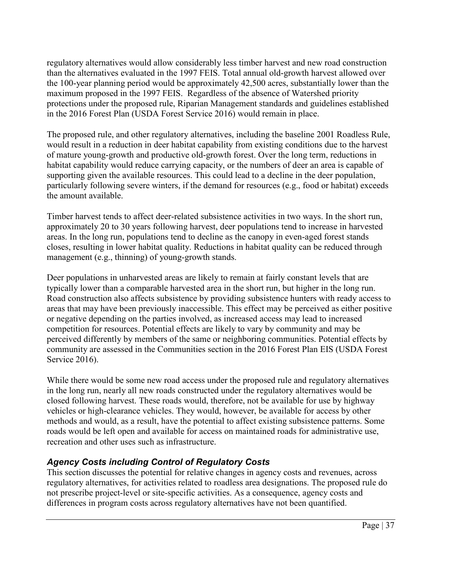regulatory alternatives would allow considerably less timber harvest and new road construction than the alternatives evaluated in the 1997 FEIS. Total annual old-growth harvest allowed over the 100-year planning period would be approximately 42,500 acres, substantially lower than the maximum proposed in the 1997 FEIS. Regardless of the absence of Watershed priority protections under the proposed rule, Riparian Management standards and guidelines established in the 2016 Forest Plan (USDA Forest Service 2016) would remain in place.

The proposed rule, and other regulatory alternatives, including the baseline 2001 Roadless Rule, would result in a reduction in deer habitat capability from existing conditions due to the harvest of mature young-growth and productive old-growth forest. Over the long term, reductions in habitat capability would reduce carrying capacity, or the numbers of deer an area is capable of supporting given the available resources. This could lead to a decline in the deer population, particularly following severe winters, if the demand for resources (e.g., food or habitat) exceeds the amount available.

Timber harvest tends to affect deer-related subsistence activities in two ways. In the short run, approximately 20 to 30 years following harvest, deer populations tend to increase in harvested areas. In the long run, populations tend to decline as the canopy in even-aged forest stands closes, resulting in lower habitat quality. Reductions in habitat quality can be reduced through management (e.g., thinning) of young-growth stands.

Deer populations in unharvested areas are likely to remain at fairly constant levels that are typically lower than a comparable harvested area in the short run, but higher in the long run. Road construction also affects subsistence by providing subsistence hunters with ready access to areas that may have been previously inaccessible. This effect may be perceived as either positive or negative depending on the parties involved, as increased access may lead to increased competition for resources. Potential effects are likely to vary by community and may be perceived differently by members of the same or neighboring communities. Potential effects by community are assessed in the Communities section in the 2016 Forest Plan EIS (USDA Forest Service 2016).

While there would be some new road access under the proposed rule and regulatory alternatives in the long run, nearly all new roads constructed under the regulatory alternatives would be closed following harvest. These roads would, therefore, not be available for use by highway vehicles or high-clearance vehicles. They would, however, be available for access by other methods and would, as a result, have the potential to affect existing subsistence patterns. Some roads would be left open and available for access on maintained roads for administrative use, recreation and other uses such as infrastructure.

## <span id="page-36-0"></span>*Agency Costs including Control of Regulatory Costs*

This section discusses the potential for relative changes in agency costs and revenues, across regulatory alternatives, for activities related to roadless area designations. The proposed rule do not prescribe project-level or site-specific activities. As a consequence, agency costs and differences in program costs across regulatory alternatives have not been quantified.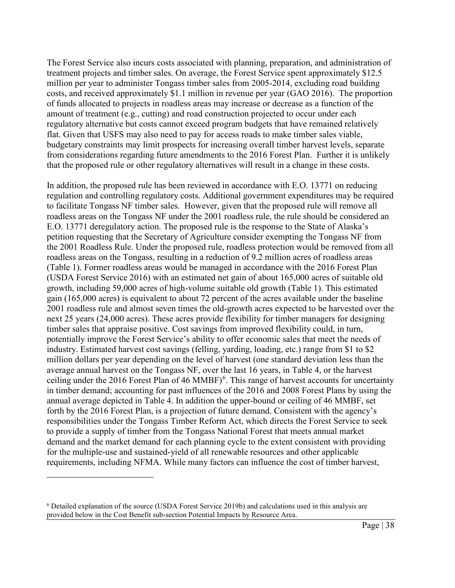The Forest Service also incurs costs associated with planning, preparation, and administration of treatment projects and timber sales. On average, the Forest Service spent approximately \$12.5 million per year to administer Tongass timber sales from 2005-2014, excluding road building costs, and received approximately \$1.1 million in revenue per year (GAO 2016). The proportion of funds allocated to projects in roadless areas may increase or decrease as a function of the amount of treatment (e.g., cutting) and road construction projected to occur under each regulatory alternative but costs cannot exceed program budgets that have remained relatively flat. Given that USFS may also need to pay for access roads to make timber sales viable, budgetary constraints may limit prospects for increasing overall timber harvest levels, separate from considerations regarding future amendments to the 2016 Forest Plan. Further it is unlikely that the proposed rule or other regulatory alternatives will result in a change in these costs.

In addition, the proposed rule has been reviewed in accordance with E.O. 13771 on reducing regulation and controlling regulatory costs. Additional government expenditures may be required to facilitate Tongass NF timber sales. However, given that the proposed rule will remove all roadless areas on the Tongass NF under the 2001 roadless rule, the rule should be considered an E.O. 13771 deregulatory action. The proposed rule is the response to the State of Alaska's petition requesting that the Secretary of Agriculture consider exempting the Tongass NF from the 2001 Roadless Rule. Under the proposed rule, roadless protection would be removed from all roadless areas on the Tongass, resulting in a reduction of 9.2 million acres of roadless areas (Table 1). Former roadless areas would be managed in accordance with the 2016 Forest Plan (USDA Forest Service 2016) with an estimated net gain of about 165,000 acres of suitable old growth, including 59,000 acres of high-volume suitable old growth (Table 1). This estimated gain (165,000 acres) is equivalent to about 72 percent of the acres available under the baseline 2001 roadless rule and almost seven times the old-growth acres expected to be harvested over the next 25 years (24,000 acres). These acres provide flexibility for timber managers for designing timber sales that appraise positive. Cost savings from improved flexibility could, in turn, potentially improve the Forest Service's ability to offer economic sales that meet the needs of industry. Estimated harvest cost savings (felling, yarding, loading, etc.) range from \$1 to \$2 million dollars per year depending on the level of harvest (one standard deviation less than the average annual harvest on the Tongass NF, over the last 16 years, in Table 4, or the harvest ceiling under the 201[6](#page-37-0) Forest Plan of 46 MMBF) $<sup>6</sup>$ . This range of harvest accounts for uncertainty</sup> in timber demand; accounting for past influences of the 2016 and 2008 Forest Plans by using the annual average depicted in Table 4. In addition the upper-bound or ceiling of 46 MMBF, set forth by the 2016 Forest Plan, is a projection of future demand. Consistent with the agency's responsibilities under the Tongass Timber Reform Act, which directs the Forest Service to seek to provide a supply of timber from the Tongass National Forest that meets annual market demand and the market demand for each planning cycle to the extent consistent with providing for the multiple-use and sustained-yield of all renewable resources and other applicable requirements, including NFMA. While many factors can influence the cost of timber harvest,

 $\overline{a}$ 

<span id="page-37-0"></span><sup>6</sup> Detailed explanation of the source (USDA Forest Service 2019b) and calculations used in this analysis are provided below in the Cost Benefit sub-section Potential Impacts by Resource Area.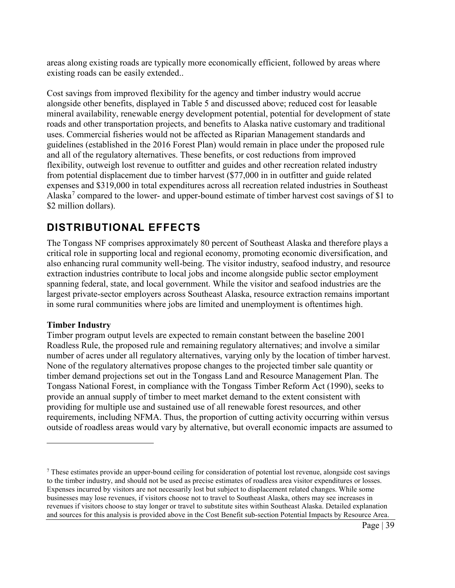areas along existing roads are typically more economically efficient, followed by areas where existing roads can be easily extended..

Cost savings from improved flexibility for the agency and timber industry would accrue alongside other benefits, displayed in Table 5 and discussed above; reduced cost for leasable mineral availability, renewable energy development potential, potential for development of state roads and other transportation projects, and benefits to Alaska native customary and traditional uses. Commercial fisheries would not be affected as Riparian Management standards and guidelines (established in the 2016 Forest Plan) would remain in place under the proposed rule and all of the regulatory alternatives. These benefits, or cost reductions from improved flexibility, outweigh lost revenue to outfitter and guides and other recreation related industry from potential displacement due to timber harvest (\$77,000 in in outfitter and guide related expenses and \$319,000 in total expenditures across all recreation related industries in Southeast Alaska<sup>[7](#page-38-1)</sup> compared to the lower- and upper-bound estimate of timber harvest cost savings of \$1 to \$2 million dollars).

## <span id="page-38-0"></span>**DISTRIBUTIONAL EFFECTS**

The Tongass NF comprises approximately 80 percent of Southeast Alaska and therefore plays a critical role in supporting local and regional economy, promoting economic diversification, and also enhancing rural community well-being. The visitor industry, seafood industry, and resource extraction industries contribute to local jobs and income alongside public sector employment spanning federal, state, and local government. While the visitor and seafood industries are the largest private-sector employers across Southeast Alaska, resource extraction remains important in some rural communities where jobs are limited and unemployment is oftentimes high.

#### **Timber Industry**

 $\overline{a}$ 

Timber program output levels are expected to remain constant between the baseline 2001 Roadless Rule, the proposed rule and remaining regulatory alternatives; and involve a similar number of acres under all regulatory alternatives, varying only by the location of timber harvest. None of the regulatory alternatives propose changes to the projected timber sale quantity or timber demand projections set out in the Tongass Land and Resource Management Plan. The Tongass National Forest, in compliance with the Tongass Timber Reform Act (1990), seeks to provide an annual supply of timber to meet market demand to the extent consistent with providing for multiple use and sustained use of all renewable forest resources, and other requirements, including NFMA. Thus, the proportion of cutting activity occurring within versus outside of roadless areas would vary by alternative, but overall economic impacts are assumed to

<span id="page-38-1"></span><sup>7</sup> These estimates provide an upper-bound ceiling for consideration of potential lost revenue, alongside cost savings to the timber industry, and should not be used as precise estimates of roadless area visitor expenditures or losses. Expenses incurred by visitors are not necessarily lost but subject to displacement related changes. While some businesses may lose revenues, if visitors choose not to travel to Southeast Alaska, others may see increases in revenues if visitors choose to stay longer or travel to substitute sites within Southeast Alaska. Detailed explanation and sources for this analysis is provided above in the Cost Benefit sub-section Potential Impacts by Resource Area.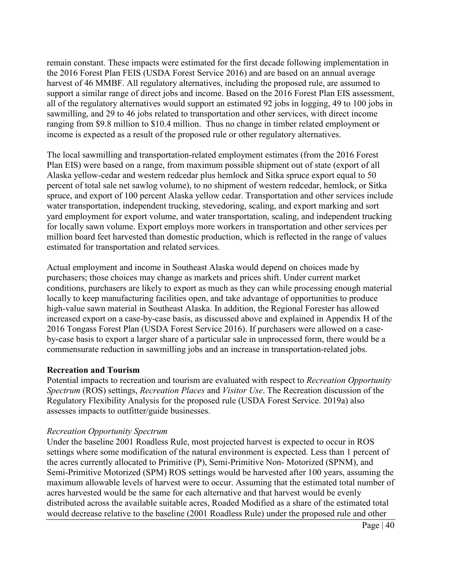remain constant. These impacts were estimated for the first decade following implementation in the 2016 Forest Plan FEIS (USDA Forest Service 2016) and are based on an annual average harvest of 46 MMBF. All regulatory alternatives, including the proposed rule, are assumed to support a similar range of direct jobs and income. Based on the 2016 Forest Plan EIS assessment, all of the regulatory alternatives would support an estimated 92 jobs in logging, 49 to 100 jobs in sawmilling, and 29 to 46 jobs related to transportation and other services, with direct income ranging from \$9.8 million to \$10.4 million. Thus no change in timber related employment or income is expected as a result of the proposed rule or other regulatory alternatives.

The local sawmilling and transportation-related employment estimates (from the 2016 Forest Plan EIS) were based on a range, from maximum possible shipment out of state (export of all Alaska yellow-cedar and western redcedar plus hemlock and Sitka spruce export equal to 50 percent of total sale net sawlog volume), to no shipment of western redcedar, hemlock, or Sitka spruce, and export of 100 percent Alaska yellow cedar. Transportation and other services include water transportation, independent trucking, stevedoring, scaling, and export marking and sort yard employment for export volume, and water transportation, scaling, and independent trucking for locally sawn volume. Export employs more workers in transportation and other services per million board feet harvested than domestic production, which is reflected in the range of values estimated for transportation and related services.

Actual employment and income in Southeast Alaska would depend on choices made by purchasers; those choices may change as markets and prices shift. Under current market conditions, purchasers are likely to export as much as they can while processing enough material locally to keep manufacturing facilities open, and take advantage of opportunities to produce high-value sawn material in Southeast Alaska. In addition, the Regional Forester has allowed increased export on a case-by-case basis, as discussed above and explained in Appendix H of the 2016 Tongass Forest Plan (USDA Forest Service 2016). If purchasers were allowed on a caseby-case basis to export a larger share of a particular sale in unprocessed form, there would be a commensurate reduction in sawmilling jobs and an increase in transportation-related jobs.

## **Recreation and Tourism**

Potential impacts to recreation and tourism are evaluated with respect to *Recreation Opportunity Spectrum* (ROS) settings, *Recreation Places* and *Visitor Use*. The Recreation discussion of the Regulatory Flexibility Analysis for the proposed rule (USDA Forest Service. 2019a) also assesses impacts to outfitter/guide businesses.

#### *Recreation Opportunity Spectrum*

Under the baseline 2001 Roadless Rule, most projected harvest is expected to occur in ROS settings where some modification of the natural environment is expected. Less than 1 percent of the acres currently allocated to Primitive (P), Semi-Primitive Non- Motorized (SPNM), and Semi-Primitive Motorized (SPM) ROS settings would be harvested after 100 years, assuming the maximum allowable levels of harvest were to occur. Assuming that the estimated total number of acres harvested would be the same for each alternative and that harvest would be evenly distributed across the available suitable acres, Roaded Modified as a share of the estimated total would decrease relative to the baseline (2001 Roadless Rule) under the proposed rule and other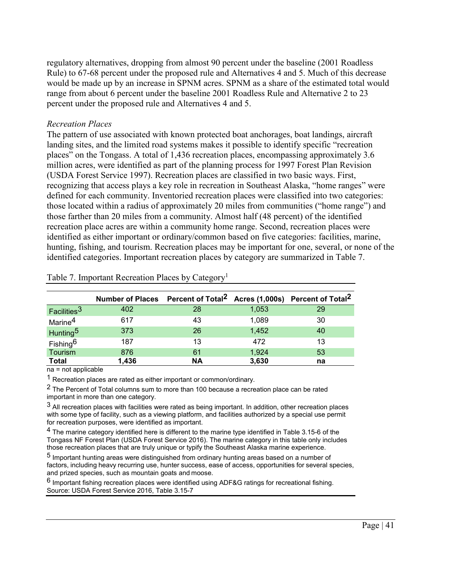regulatory alternatives, dropping from almost 90 percent under the baseline (2001 Roadless Rule) to 67-68 percent under the proposed rule and Alternatives 4 and 5. Much of this decrease would be made up by an increase in SPNM acres. SPNM as a share of the estimated total would range from about 6 percent under the baseline 2001 Roadless Rule and Alternative 2 to 23 percent under the proposed rule and Alternatives 4 and 5.

#### *Recreation Places*

The pattern of use associated with known protected boat anchorages, boat landings, aircraft landing sites, and the limited road systems makes it possible to identify specific "recreation places" on the Tongass. A total of 1,436 recreation places, encompassing approximately 3.6 million acres, were identified as part of the planning process for 1997 Forest Plan Revision (USDA Forest Service 1997). Recreation places are classified in two basic ways. First, recognizing that access plays a key role in recreation in Southeast Alaska, "home ranges" were defined for each community. Inventoried recreation places were classified into two categories: those located within a radius of approximately 20 miles from communities ("home range") and those farther than 20 miles from a community. Almost half (48 percent) of the identified recreation place acres are within a community home range. Second, recreation places were identified as either important or ordinary/common based on five categories: facilities, marine, hunting, fishing, and tourism. Recreation places may be important for one, several, or none of the identified categories. Important recreation places by category are summarized in Table 7.

|                         | Number of Places Percent of Total <sup>2</sup> Acres (1,000s) Percent of Total <sup>2</sup> |           |       |    |
|-------------------------|---------------------------------------------------------------------------------------------|-----------|-------|----|
| Facilities <sup>3</sup> | 402                                                                                         | 28        | 1,053 | 29 |
| Marine $\rm ^4$         | 617                                                                                         | 43        | 1,089 | 30 |
| Hunting <sup>5</sup>    | 373                                                                                         | 26        | 1,452 | 40 |
| Fishing <sup>6</sup>    | 187                                                                                         | 13        | 472   | 13 |
| Tourism                 | 876                                                                                         | 61        | 1,924 | 53 |
| <b>Total</b>            | 1,436                                                                                       | <b>NA</b> | 3,630 | na |

Table 7. Important Recreation Places by Category<sup>1</sup>

na = not applicable

<sup>1</sup> Recreation places are rated as either important or common/ordinary.

2 The Percent of Total columns sum to more than 100 because a recreation place can be rated important in more than one category.

 $3$  All recreation places with facilities were rated as being important. In addition, other recreation places with some type of facility, such as a viewing platform, and facilities authorized by a special use permit for recreation purposes, were identified as important.

4 The marine category identified here is different to the marine type identified in Table 3.15-6 of the Tongass NF Forest Plan (USDA Forest Service 2016). The marine category in this table only includes those recreation places that are truly unique or typify the Southeast Alaska marine experience.

5 Important hunting areas were distinguished from ordinary hunting areas based on a number of factors, including heavy recurring use, hunter success, ease of access, opportunities for several species, and prized species, such as mountain goats and moose.

 $6$  Important fishing recreation places were identified using ADF&G ratings for recreational fishing. Source: USDA Forest Service 2016, Table 3.15-7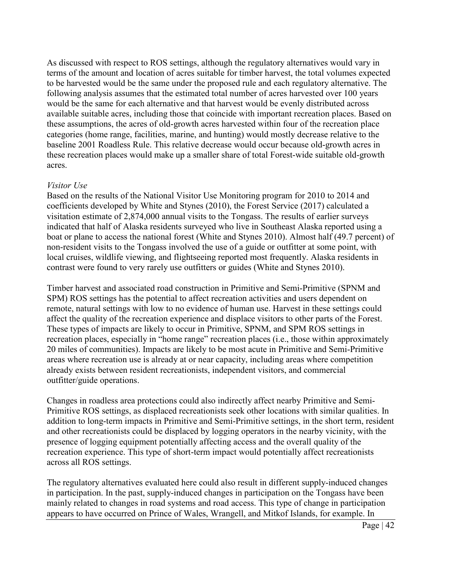As discussed with respect to ROS settings, although the regulatory alternatives would vary in terms of the amount and location of acres suitable for timber harvest, the total volumes expected to be harvested would be the same under the proposed rule and each regulatory alternative. The following analysis assumes that the estimated total number of acres harvested over 100 years would be the same for each alternative and that harvest would be evenly distributed across available suitable acres, including those that coincide with important recreation places. Based on these assumptions, the acres of old-growth acres harvested within four of the recreation place categories (home range, facilities, marine, and hunting) would mostly decrease relative to the baseline 2001 Roadless Rule. This relative decrease would occur because old-growth acres in these recreation places would make up a smaller share of total Forest-wide suitable old-growth acres.

### *Visitor Use*

Based on the results of the National Visitor Use Monitoring program for 2010 to 2014 and coefficients developed by White and Stynes (2010), the Forest Service (2017) calculated a visitation estimate of 2,874,000 annual visits to the Tongass. The results of earlier surveys indicated that half of Alaska residents surveyed who live in Southeast Alaska reported using a boat or plane to access the national forest (White and Stynes 2010). Almost half (49.7 percent) of non-resident visits to the Tongass involved the use of a guide or outfitter at some point, with local cruises, wildlife viewing, and flightseeing reported most frequently. Alaska residents in contrast were found to very rarely use outfitters or guides (White and Stynes 2010).

Timber harvest and associated road construction in Primitive and Semi-Primitive (SPNM and SPM) ROS settings has the potential to affect recreation activities and users dependent on remote, natural settings with low to no evidence of human use. Harvest in these settings could affect the quality of the recreation experience and displace visitors to other parts of the Forest. These types of impacts are likely to occur in Primitive, SPNM, and SPM ROS settings in recreation places, especially in "home range" recreation places (i.e., those within approximately 20 miles of communities). Impacts are likely to be most acute in Primitive and Semi-Primitive areas where recreation use is already at or near capacity, including areas where competition already exists between resident recreationists, independent visitors, and commercial outfitter/guide operations.

Changes in roadless area protections could also indirectly affect nearby Primitive and Semi-Primitive ROS settings, as displaced recreationists seek other locations with similar qualities. In addition to long-term impacts in Primitive and Semi-Primitive settings, in the short term, resident and other recreationists could be displaced by logging operators in the nearby vicinity, with the presence of logging equipment potentially affecting access and the overall quality of the recreation experience. This type of short-term impact would potentially affect recreationists across all ROS settings.

The regulatory alternatives evaluated here could also result in different supply-induced changes in participation. In the past, supply-induced changes in participation on the Tongass have been mainly related to changes in road systems and road access. This type of change in participation appears to have occurred on Prince of Wales, Wrangell, and Mitkof Islands, for example. In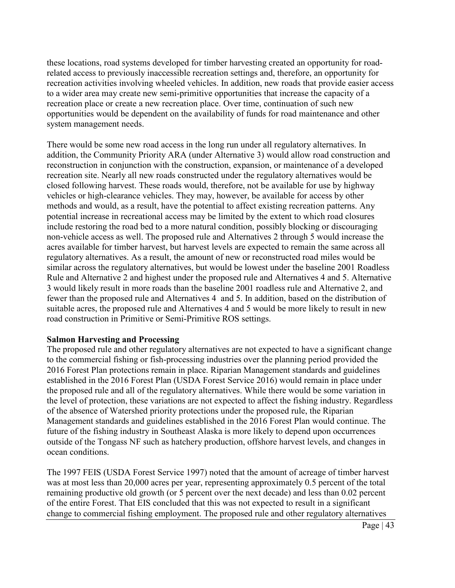these locations, road systems developed for timber harvesting created an opportunity for roadrelated access to previously inaccessible recreation settings and, therefore, an opportunity for recreation activities involving wheeled vehicles. In addition, new roads that provide easier access to a wider area may create new semi-primitive opportunities that increase the capacity of a recreation place or create a new recreation place. Over time, continuation of such new opportunities would be dependent on the availability of funds for road maintenance and other system management needs.

There would be some new road access in the long run under all regulatory alternatives. In addition, the Community Priority ARA (under Alternative 3) would allow road construction and reconstruction in conjunction with the construction, expansion, or maintenance of a developed recreation site. Nearly all new roads constructed under the regulatory alternatives would be closed following harvest. These roads would, therefore, not be available for use by highway vehicles or high-clearance vehicles. They may, however, be available for access by other methods and would, as a result, have the potential to affect existing recreation patterns. Any potential increase in recreational access may be limited by the extent to which road closures include restoring the road bed to a more natural condition, possibly blocking or discouraging non-vehicle access as well. The proposed rule and Alternatives 2 through 5 would increase the acres available for timber harvest, but harvest levels are expected to remain the same across all regulatory alternatives. As a result, the amount of new or reconstructed road miles would be similar across the regulatory alternatives, but would be lowest under the baseline 2001 Roadless Rule and Alternative 2 and highest under the proposed rule and Alternatives 4 and 5. Alternative 3 would likely result in more roads than the baseline 2001 roadless rule and Alternative 2, and fewer than the proposed rule and Alternatives 4 and 5. In addition, based on the distribution of suitable acres, the proposed rule and Alternatives 4 and 5 would be more likely to result in new road construction in Primitive or Semi-Primitive ROS settings.

#### **Salmon Harvesting and Processing**

The proposed rule and other regulatory alternatives are not expected to have a significant change to the commercial fishing or fish-processing industries over the planning period provided the 2016 Forest Plan protections remain in place. Riparian Management standards and guidelines established in the 2016 Forest Plan (USDA Forest Service 2016) would remain in place under the proposed rule and all of the regulatory alternatives. While there would be some variation in the level of protection, these variations are not expected to affect the fishing industry. Regardless of the absence of Watershed priority protections under the proposed rule, the Riparian Management standards and guidelines established in the 2016 Forest Plan would continue. The future of the fishing industry in Southeast Alaska is more likely to depend upon occurrences outside of the Tongass NF such as hatchery production, offshore harvest levels, and changes in ocean conditions.

The 1997 FEIS (USDA Forest Service 1997) noted that the amount of acreage of timber harvest was at most less than 20,000 acres per year, representing approximately 0.5 percent of the total remaining productive old growth (or 5 percent over the next decade) and less than 0.02 percent of the entire Forest. That EIS concluded that this was not expected to result in a significant change to commercial fishing employment. The proposed rule and other regulatory alternatives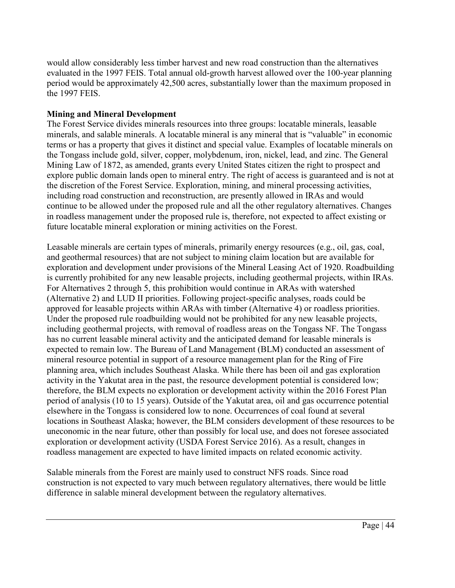would allow considerably less timber harvest and new road construction than the alternatives evaluated in the 1997 FEIS. Total annual old-growth harvest allowed over the 100-year planning period would be approximately 42,500 acres, substantially lower than the maximum proposed in the 1997 FEIS.

## **Mining and Mineral Development**

The Forest Service divides minerals resources into three groups: locatable minerals, leasable minerals, and salable minerals. A locatable mineral is any mineral that is "valuable" in economic terms or has a property that gives it distinct and special value. Examples of locatable minerals on the Tongass include gold, silver, copper, molybdenum, iron, nickel, lead, and zinc. The General Mining Law of 1872, as amended, grants every United States citizen the right to prospect and explore public domain lands open to mineral entry. The right of access is guaranteed and is not at the discretion of the Forest Service. Exploration, mining, and mineral processing activities, including road construction and reconstruction, are presently allowed in IRAs and would continue to be allowed under the proposed rule and all the other regulatory alternatives. Changes in roadless management under the proposed rule is, therefore, not expected to affect existing or future locatable mineral exploration or mining activities on the Forest.

Leasable minerals are certain types of minerals, primarily energy resources (e.g., oil, gas, coal, and geothermal resources) that are not subject to mining claim location but are available for exploration and development under provisions of the Mineral Leasing Act of 1920. Roadbuilding is currently prohibited for any new leasable projects, including geothermal projects, within IRAs. For Alternatives 2 through 5, this prohibition would continue in ARAs with watershed (Alternative 2) and LUD II priorities. Following project-specific analyses, roads could be approved for leasable projects within ARAs with timber (Alternative 4) or roadless priorities. Under the proposed rule roadbuilding would not be prohibited for any new leasable projects, including geothermal projects, with removal of roadless areas on the Tongass NF. The Tongass has no current leasable mineral activity and the anticipated demand for leasable minerals is expected to remain low. The Bureau of Land Management (BLM) conducted an assessment of mineral resource potential in support of a resource management plan for the Ring of Fire planning area, which includes Southeast Alaska. While there has been oil and gas exploration activity in the Yakutat area in the past, the resource development potential is considered low; therefore, the BLM expects no exploration or development activity within the 2016 Forest Plan period of analysis (10 to 15 years). Outside of the Yakutat area, oil and gas occurrence potential elsewhere in the Tongass is considered low to none. Occurrences of coal found at several locations in Southeast Alaska; however, the BLM considers development of these resources to be uneconomic in the near future, other than possibly for local use, and does not foresee associated exploration or development activity (USDA Forest Service 2016). As a result, changes in roadless management are expected to have limited impacts on related economic activity.

Salable minerals from the Forest are mainly used to construct NFS roads. Since road construction is not expected to vary much between regulatory alternatives, there would be little difference in salable mineral development between the regulatory alternatives.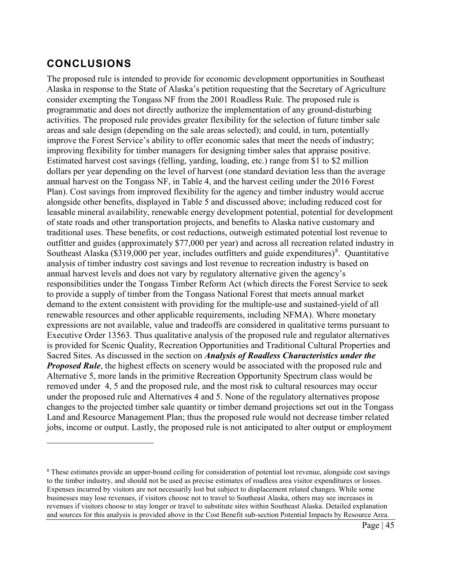## <span id="page-44-0"></span>**CONCLUSIONS**

 $\overline{a}$ 

The proposed rule is intended to provide for economic development opportunities in Southeast Alaska in response to the State of Alaska's petition requesting that the Secretary of Agriculture consider exempting the Tongass NF from the 2001 Roadless Rule. The proposed rule is programmatic and does not directly authorize the implementation of any ground-disturbing activities. The proposed rule provides greater flexibility for the selection of future timber sale areas and sale design (depending on the sale areas selected); and could, in turn, potentially improve the Forest Service's ability to offer economic sales that meet the needs of industry; improving flexibility for timber managers for designing timber sales that appraise positive. Estimated harvest cost savings (felling, yarding, loading, etc.) range from \$1 to \$2 million dollars per year depending on the level of harvest (one standard deviation less than the average annual harvest on the Tongass NF, in Table 4, and the harvest ceiling under the 2016 Forest Plan). Cost savings from improved flexibility for the agency and timber industry would accrue alongside other benefits, displayed in Table 5 and discussed above; including reduced cost for leasable mineral availability, renewable energy development potential, potential for development of state roads and other transportation projects, and benefits to Alaska native customary and traditional uses. These benefits, or cost reductions, outweigh estimated potential lost revenue to outfitter and guides (approximately \$77,000 per year) and across all recreation related industry in Southeast Alaska (\$319,000 per year, includes outfitters and guide expenditures)<sup>[8](#page-44-1)</sup>. Quantitative analysis of timber industry cost savings and lost revenue to recreation industry is based on annual harvest levels and does not vary by regulatory alternative given the agency's responsibilities under the Tongass Timber Reform Act (which directs the Forest Service to seek to provide a supply of timber from the Tongass National Forest that meets annual market demand to the extent consistent with providing for the multiple-use and sustained-yield of all renewable resources and other applicable requirements, including NFMA). Where monetary expressions are not available, value and tradeoffs are considered in qualitative terms pursuant to Executive Order 13563. Thus qualitative analysis of the proposed rule and regulator alternatives is provided for Scenic Quality, Recreation Opportunities and Traditional Cultural Properties and Sacred Sites. As discussed in the section on *Analysis of Roadless Characteristics under the Proposed Rule*, the highest effects on scenery would be associated with the proposed rule and Alternative 5, more lands in the primitive Recreation Opportunity Spectrum class would be removed under 4, 5 and the proposed rule, and the most risk to cultural resources may occur under the proposed rule and Alternatives 4 and 5. None of the regulatory alternatives propose changes to the projected timber sale quantity or timber demand projections set out in the Tongass Land and Resource Management Plan; thus the proposed rule would not decrease timber related jobs, income or output. Lastly, the proposed rule is not anticipated to alter output or employment

<span id="page-44-1"></span><sup>8</sup> These estimates provide an upper-bound ceiling for consideration of potential lost revenue, alongside cost savings to the timber industry, and should not be used as precise estimates of roadless area visitor expenditures or losses. Expenses incurred by visitors are not necessarily lost but subject to displacement related changes. While some businesses may lose revenues, if visitors choose not to travel to Southeast Alaska, others may see increases in revenues if visitors choose to stay longer or travel to substitute sites within Southeast Alaska. Detailed explanation and sources for this analysis is provided above in the Cost Benefit sub-section Potential Impacts by Resource Area.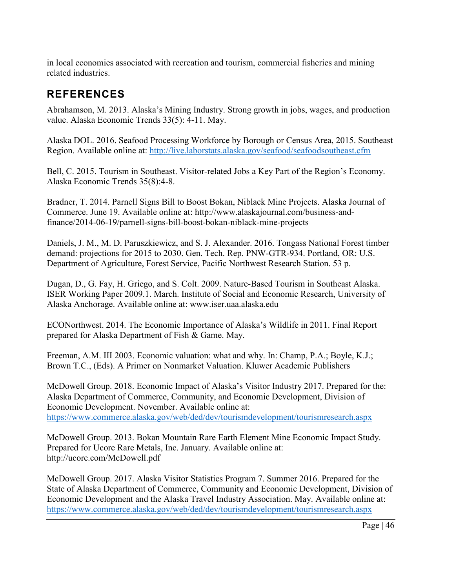in local economies associated with recreation and tourism, commercial fisheries and mining related industries.

# <span id="page-45-0"></span>**REFERENCES**

Abrahamson, M. 2013. Alaska's Mining Industry. Strong growth in jobs, wages, and production value. Alaska Economic Trends 33(5): 4-11. May.

Alaska DOL. 2016. Seafood Processing Workforce by Borough or Census Area, 2015. Southeast Region. Available online at:<http://live.laborstats.alaska.gov/seafood/seafoodsoutheast.cfm>

Bell, C. 2015. Tourism in Southeast. Visitor-related Jobs a Key Part of the Region's Economy. Alaska Economic Trends 35(8):4-8.

Bradner, T. 2014. Parnell Signs Bill to Boost Bokan, Niblack Mine Projects. Alaska Journal of Commerce. June 19. Available online at: http://www.alaskajournal.com/business-andfinance/2014-06-19/parnell-signs-bill-boost-bokan-niblack-mine-projects

Daniels, J. M., M. D. Paruszkiewicz, and S. J. Alexander. 2016. Tongass National Forest timber demand: projections for 2015 to 2030. Gen. Tech. Rep. PNW-GTR-934. Portland, OR: U.S. Department of Agriculture, Forest Service, Pacific Northwest Research Station. 53 p.

Dugan, D., G. Fay, H. Griego, and S. Colt. 2009. Nature-Based Tourism in Southeast Alaska. ISER Working Paper 2009.1. March. Institute of Social and Economic Research, University of Alaska Anchorage. Available online at: www.iser.uaa.alaska.edu

ECONorthwest. 2014. The Economic Importance of Alaska's Wildlife in 2011. Final Report prepared for Alaska Department of Fish & Game. May.

Freeman, A.M. III 2003. Economic valuation: what and why. In: Champ, P.A.; Boyle, K.J.; Brown T.C., (Eds). A Primer on Nonmarket Valuation. Kluwer Academic Publishers

McDowell Group. 2018. Economic Impact of Alaska's Visitor Industry 2017. Prepared for the: Alaska Department of Commerce, Community, and Economic Development, Division of Economic Development. November. Available online at: <https://www.commerce.alaska.gov/web/ded/dev/tourismdevelopment/tourismresearch.aspx>

McDowell Group. 2013. Bokan Mountain Rare Earth Element Mine Economic Impact Study. Prepared for Ucore Rare Metals, Inc. January. Available online at: http://ucore.com/McDowell.pdf

McDowell Group. 2017. Alaska Visitor Statistics Program 7. Summer 2016. Prepared for the State of Alaska Department of Commerce, Community and Economic Development, Division of Economic Development and the Alaska Travel Industry Association. May. Available online at: <https://www.commerce.alaska.gov/web/ded/dev/tourismdevelopment/tourismresearch.aspx>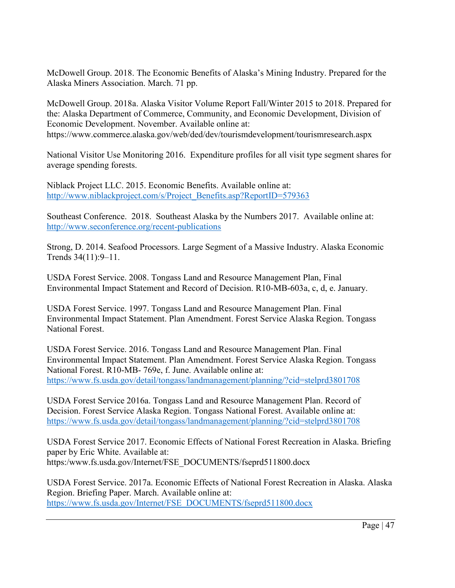McDowell Group. 2018. The Economic Benefits of Alaska's Mining Industry. Prepared for the Alaska Miners Association. March. 71 pp.

McDowell Group. 2018a. Alaska Visitor Volume Report Fall/Winter 2015 to 2018. Prepared for the: Alaska Department of Commerce, Community, and Economic Development, Division of Economic Development. November. Available online at: https://www.commerce.alaska.gov/web/ded/dev/tourismdevelopment/tourismresearch.aspx

National Visitor Use Monitoring 2016. Expenditure profiles for all visit type segment shares for average spending forests.

Niblack Project LLC. 2015. Economic Benefits. Available online at: [http://www.niblackproject.com/s/Project\\_Benefits.asp?ReportID=579363](http://www.niblackproject.com/s/Project_Benefits.asp?ReportID=579363)

Southeast Conference. 2018. Southeast Alaska by the Numbers 2017. Available online at: http://www.seconference.org/recent-publications

Strong, D. 2014. Seafood Processors. Large Segment of a Massive Industry. Alaska Economic Trends 34(11):9–11.

USDA Forest Service. 2008. Tongass Land and Resource Management Plan, Final Environmental Impact Statement and Record of Decision. R10-MB-603a, c, d, e. January.

USDA Forest Service. 1997. Tongass Land and Resource Management Plan. Final Environmental Impact Statement. Plan Amendment. Forest Service Alaska Region. Tongass National Forest.

USDA Forest Service. 2016. Tongass Land and Resource Management Plan. Final Environmental Impact Statement. Plan Amendment. Forest Service Alaska Region. Tongass National Forest. R10-MB- 769e, f. June. Available online at: <https://www.fs.usda.gov/detail/tongass/landmanagement/planning/?cid=stelprd3801708>

USDA Forest Service 2016a. Tongass Land and Resource Management Plan. Record of Decision. Forest Service Alaska Region. Tongass National Forest. Available online at: <https://www.fs.usda.gov/detail/tongass/landmanagement/planning/?cid=stelprd3801708>

USDA Forest Service 2017. Economic Effects of National Forest Recreation in Alaska. Briefing paper by Eric White. Available at: https:/www.fs.usda.gov/Internet/FSE\_DOCUMENTS/fseprd511800.docx

USDA Forest Service. 2017a. Economic Effects of National Forest Recreation in Alaska. Alaska Region. Briefing Paper. March. Available online at: [https://www.fs.usda.gov/Internet/FSE\\_DOCUMENTS/fseprd511800.docx](https://www.fs.usda.gov/Internet/FSE_DOCUMENTS/fseprd511800.docx)